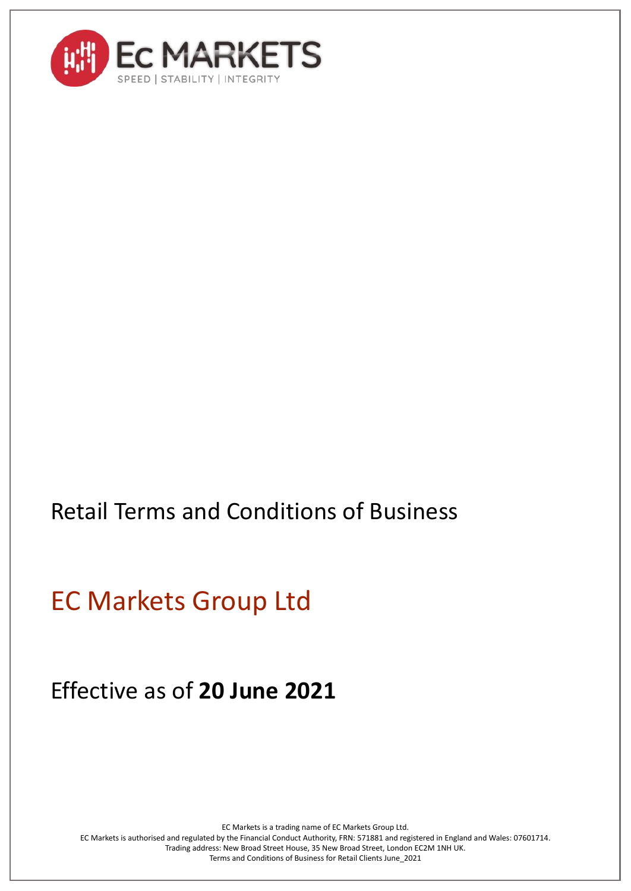

# Retail Terms and Conditions of Business

EC Markets Group Ltd

Effective as of **20 June 2021**

EC Markets is a trading name of EC Markets Group Ltd. EC Markets is authorised and regulated by the Financial Conduct Authority, FRN: 571881 and registered in England and Wales: 07601714. Trading address: New Broad Street House, 35 New Broad Street, London EC2M 1NH UK. Terms and Conditions of Business for Retail Clients June\_2021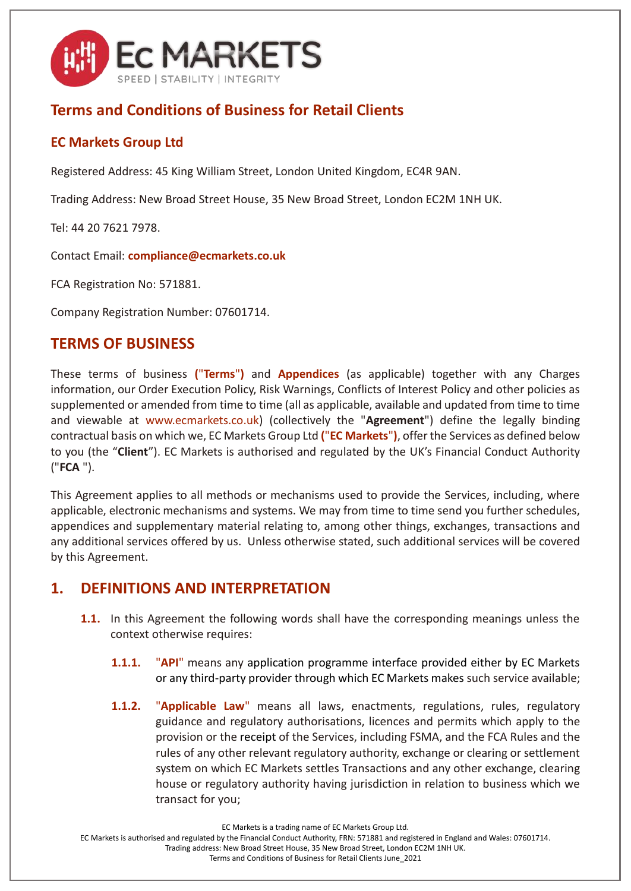

# **Terms and Conditions of Business for Retail Clients**

#### **EC Markets Group Ltd**

Registered Address: 45 King William Street, London United Kingdom, EC4R 9AN.

Trading Address: New Broad Street House, 35 New Broad Street, London EC2M 1NH UK.

Tel: 44 20 7621 7978.

Contact Email: **compliance@ecmarkets.co.uk**

FCA Registration No: 571881.

Company Registration Number: 07601714.

#### **TERMS OF BUSINESS**

These terms of business **(**"**Terms**"**)** and **Appendices** (as applicable) together with any Charges information, our Order Execution Policy, Risk Warnings, Conflicts of Interest Policy and other policies as supplemented or amended from time to time (all as applicable, available and updated from time to time and viewable at www.ecmarkets.co.uk) (collectively the "**Agreement**") define the legally binding contractual basis on which we, EC Markets Group Ltd **(**"**EC Markets**"**)**, offer the Services as defined below to you (the "**Client**"). EC Markets is authorised and regulated by the UK's Financial Conduct Authority ("**FCA** ").

This Agreement applies to all methods or mechanisms used to provide the Services, including, where applicable, electronic mechanisms and systems. We may from time to time send you further schedules, appendices and supplementary material relating to, among other things, exchanges, transactions and any additional services offered by us. Unless otherwise stated, such additional services will be covered by this Agreement.

#### **1. DEFINITIONS AND INTERPRETATION**

- **1.1.** In this Agreement the following words shall have the corresponding meanings unless the context otherwise requires:
	- **1.1.1.** "**API**" means any application programme interface provided either by EC Markets or any third-party provider through which EC Markets makes such service available;
	- **1.1.2.** "**Applicable Law**" means all laws, enactments, regulations, rules, regulatory guidance and regulatory authorisations, licences and permits which apply to the provision or the receipt of the Services, including FSMA, and the FCA Rules and the rules of any other relevant regulatory authority, exchange or clearing or settlement system on which EC Markets settles Transactions and any other exchange, clearing house or regulatory authority having jurisdiction in relation to business which we transact for you;

EC Markets is a trading name of EC Markets Group Ltd.

EC Markets is authorised and regulated by the Financial Conduct Authority, FRN: 571881 and registered in England and Wales: 07601714.

Trading address: New Broad Street House, 35 New Broad Street, London EC2M 1NH UK.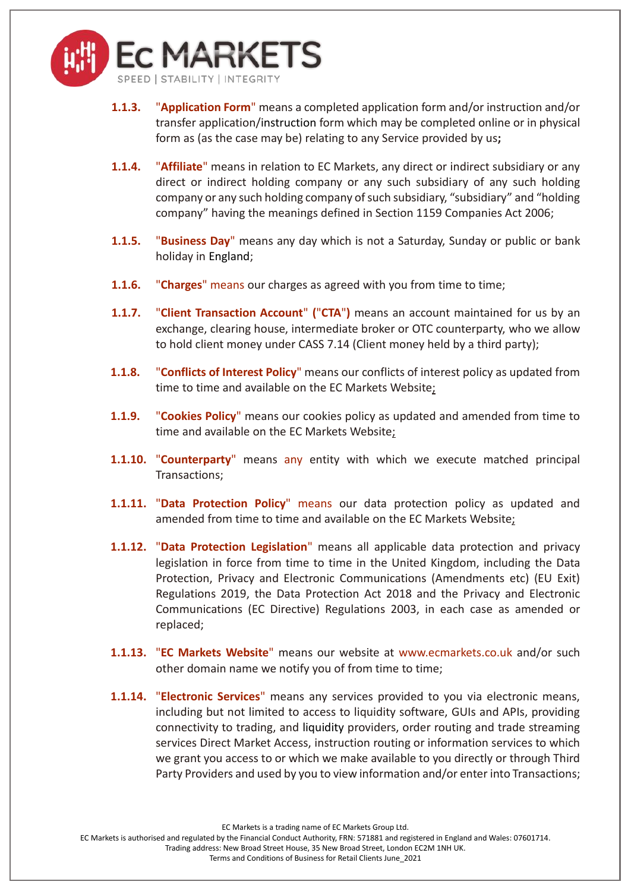

- **1.1.3.** "**Application Form**" means a completed application form and/or instruction and/or transfer application/instruction form which may be completed online or in physical form as (as the case may be) relating to any Service provided by us**;**
- **1.1.4.** "**Affiliate**" means in relation to EC Markets, any direct or indirect subsidiary or any direct or indirect holding company or any such subsidiary of any such holding company or any such holding company of such subsidiary, "subsidiary" and "holding company" having the meanings defined in Section 1159 Companies Act 2006;
- **1.1.5.** "**Business Day**" means any day which is not a Saturday, Sunday or public or bank holiday in England;
- **1.1.6.** "**Charges**" means our charges as agreed with you from time to time;
- **1.1.7.** "**Client Transaction Account**" **(**"**CTA**"**)** means an account maintained for us by an exchange, clearing house, intermediate broker or OTC counterparty, who we allow to hold client money under CASS 7.14 (Client money held by a third party);
- **1.1.8.** "**Conflicts of Interest Policy**" means our conflicts of interest policy as updated from time to time and available on the EC Markets Website;
- **1.1.9.** "**Cookies Policy**" means our cookies policy as updated and amended from time to time and available on the EC Markets Website;
- **1.1.10.** "**Counterparty**" means any entity with which we execute matched principal Transactions;
- **1.1.11.** "**Data Protection Policy**" means our data protection policy as updated and amended from time to time and available on the EC Markets Website;
- **1.1.12.** "**Data Protection Legislation**" means all applicable data protection and privacy legislation in force from time to time in the United Kingdom, including the Data Protection, Privacy and Electronic Communications (Amendments etc) (EU Exit) Regulations 2019, the Data Protection Act 2018 and the Privacy and Electronic Communications (EC Directive) Regulations 2003, in each case as amended or replaced;
- **1.1.13.** "**EC Markets Website**" means our website at www.ecmarkets.co.uk and/or such other domain name we notify you of from time to time;
- **1.1.14.** "**Electronic Services**" means any services provided to you via electronic means, including but not limited to access to liquidity software, GUIs and APIs, providing connectivity to trading, and liquidity providers, order routing and trade streaming services Direct Market Access, instruction routing or information services to which we grant you access to or which we make available to you directly or through Third Party Providers and used by you to view information and/or enter into Transactions;

EC Markets is a trading name of EC Markets Group Ltd.

EC Markets is authorised and regulated by the Financial Conduct Authority, FRN: 571881 and registered in England and Wales: 07601714.

Trading address: New Broad Street House, 35 New Broad Street, London EC2M 1NH UK.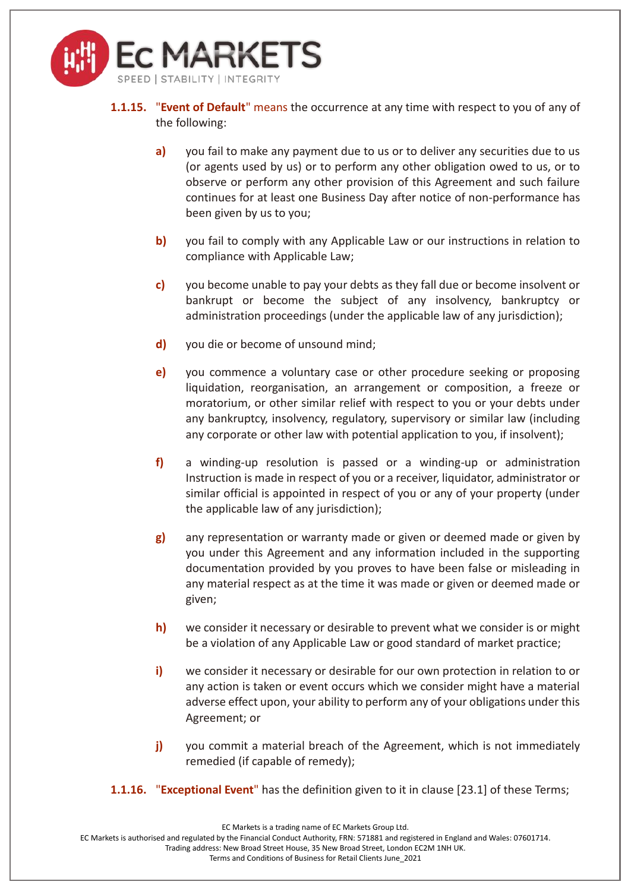

- **1.1.15.** "**Event of Default**" means the occurrence at any time with respect to you of any of the following:
	- **a)** you fail to make any payment due to us or to deliver any securities due to us (or agents used by us) or to perform any other obligation owed to us, or to observe or perform any other provision of this Agreement and such failure continues for at least one Business Day after notice of non-performance has been given by us to you;
	- **b)** you fail to comply with any Applicable Law or our instructions in relation to compliance with Applicable Law;
	- **c)** you become unable to pay your debts as they fall due or become insolvent or bankrupt or become the subject of any insolvency, bankruptcy or administration proceedings (under the applicable law of any jurisdiction);
	- **d)** you die or become of unsound mind;
	- **e)** you commence a voluntary case or other procedure seeking or proposing liquidation, reorganisation, an arrangement or composition, a freeze or moratorium, or other similar relief with respect to you or your debts under any bankruptcy, insolvency, regulatory, supervisory or similar law (including any corporate or other law with potential application to you, if insolvent);
	- **f)** a winding-up resolution is passed or a winding-up or administration Instruction is made in respect of you or a receiver, liquidator, administrator or similar official is appointed in respect of you or any of your property (under the applicable law of any jurisdiction);
	- **g)** any representation or warranty made or given or deemed made or given by you under this Agreement and any information included in the supporting documentation provided by you proves to have been false or misleading in any material respect as at the time it was made or given or deemed made or given;
	- **h)** we consider it necessary or desirable to prevent what we consider is or might be a violation of any Applicable Law or good standard of market practice;
	- **i)** we consider it necessary or desirable for our own protection in relation to or any action is taken or event occurs which we consider might have a material adverse effect upon, your ability to perform any of your obligations under this Agreement; or
	- **j)** you commit a material breach of the Agreement, which is not immediately remedied (if capable of remedy);
- **1.1.16.** "**Exceptional Event**" has the definition given to it in clause [\[23.1\]](#page-23-0) of these Terms;

EC Markets is authorised and regulated by the Financial Conduct Authority, FRN: 571881 and registered in England and Wales: 07601714.

Trading address: New Broad Street House, 35 New Broad Street, London EC2M 1NH UK.

EC Markets is a trading name of EC Markets Group Ltd.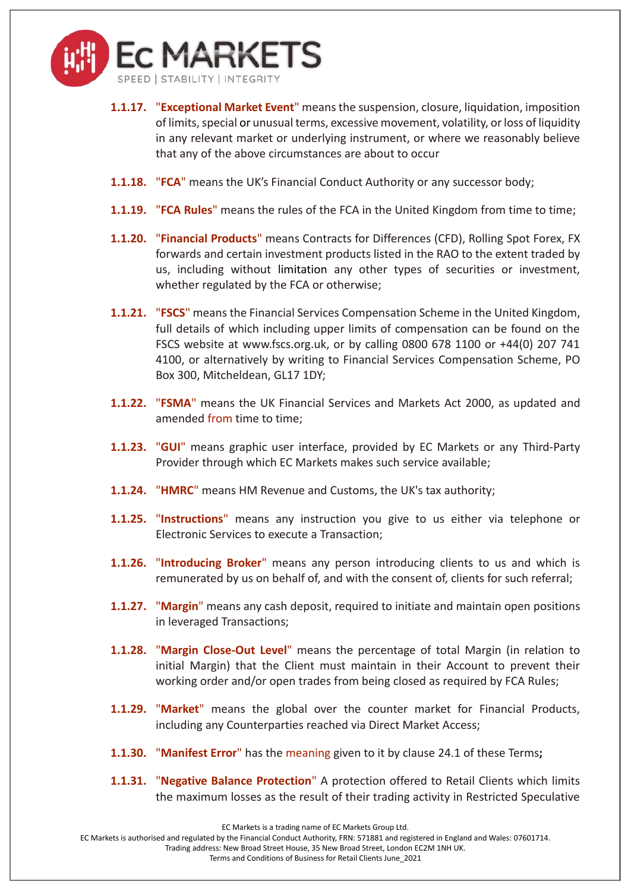

- **1.1.17.** "**Exceptional Market Event**" means the suspension, closure, liquidation, imposition of limits, special or unusual terms, excessive movement, volatility, or loss of liquidity in any relevant market or underlying instrument, or where we reasonably believe that any of the above circumstances are about to occur
- **1.1.18.** "**FCA**" means the UK's Financial Conduct Authority or any successor body;
- **1.1.19.** "**FCA Rules**" means the rules of the FCA in the United Kingdom from time to time;
- **1.1.20.** "**Financial Products**" means Contracts for Differences (CFD), Rolling Spot Forex, FX forwards and certain investment products listed in the RAO to the extent traded by us, including without limitation any other types of securities or investment, whether regulated by the FCA or otherwise;
- **1.1.21.** "**FSCS**" means the Financial Services Compensation Scheme in the United Kingdom, full details of which including upper limits of compensation can be found on the FSCS website at www.fscs.org.uk, or by calling 0800 678 1100 or +44(0) 207 741 4100, or alternatively by writing to Financial Services Compensation Scheme, PO Box 300, Mitcheldean, GL17 1DY;
- **1.1.22.** "**FSMA**" means the UK Financial Services and Markets Act 2000, as updated and amended from time to time;
- **1.1.23.** "**GUI**" means graphic user interface, provided by EC Markets or any Third-Party Provider through which EC Markets makes such service available;
- **1.1.24.** "**HMRC**" means HM Revenue and Customs, the UK's tax authority;
- **1.1.25.** "**Instructions**" means any instruction you give to us either via telephone or Electronic Services to execute a Transaction;
- **1.1.26.** "**Introducing Broker**" means any person introducing clients to us and which is remunerated by us on behalf of, and with the consent of, clients for such referral;
- **1.1.27.** "**Margin**" means any cash deposit, required to initiate and maintain open positions in leveraged Transactions;
- **1.1.28.** "**Margin Close-Out Level**" means the percentage of total Margin (in relation to initial Margin) that the Client must maintain in their Account to prevent their working order and/or open trades from being closed as required by FCA Rules;
- **1.1.29.** "**Market**" means the global over the counter market for Financial Products, including any Counterparties reached via Direct Market Access;
- **1.1.30.** "**Manifest Error**" has the meaning given to it by clause [24.1](#page-24-0) of these Terms**;**
- **1.1.31.** "**Negative Balance Protection**" A protection offered to Retail Clients which limits the maximum losses as the result of their trading activity in Restricted Speculative

EC Markets is authorised and regulated by the Financial Conduct Authority, FRN: 571881 and registered in England and Wales: 07601714.

Trading address: New Broad Street House, 35 New Broad Street, London EC2M 1NH UK.

EC Markets is a trading name of EC Markets Group Ltd.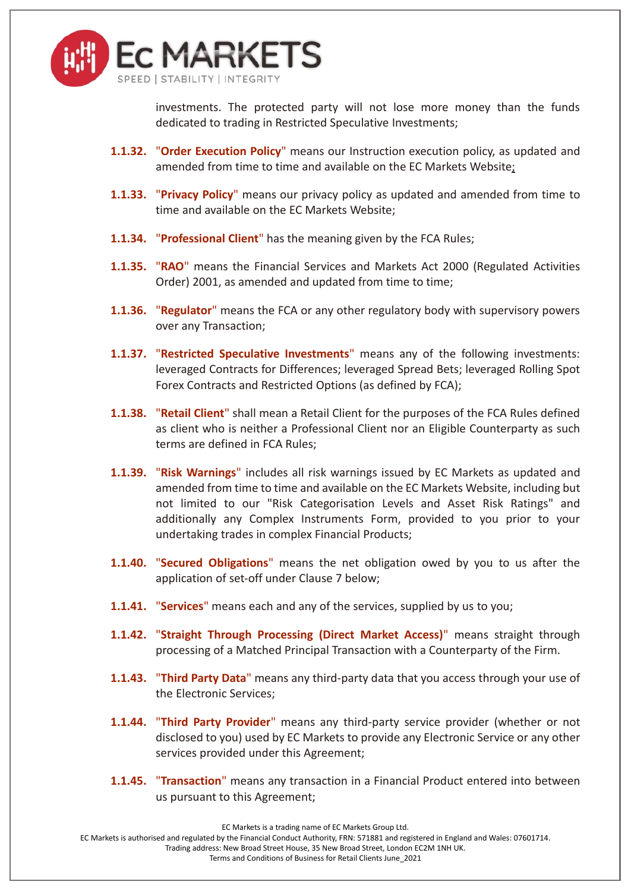

investments. The protected party will not lose more money than the funds dedicated to trading in Restricted Speculative Investments;

- **1.1.32.** "**Order Execution Policy**" means our Instruction execution policy, as updated and amended from time to time and available on the EC Markets Website;
- **1.1.33.** "**Privacy Policy**" means our privacy policy as updated and amended from time to time and available on the EC Markets Website;
- **1.1.34.** "**Professional Client**" has the meaning given by the FCA Rules;
- **1.1.35.** "**RAO**" means the Financial Services and Markets Act 2000 (Regulated Activities Order) 2001, as amended and updated from time to time;
- **1.1.36.** "**Regulator**" means the FCA or any other regulatory body with supervisory powers over any Transaction;
- **1.1.37.** "**Restricted Speculative Investments**" means any of the following investments: leveraged Contracts for Differences; leveraged Spread Bets; leveraged Rolling Spot Forex Contracts and Restricted Options (as defined by FCA);
- **1.1.38.** "**Retail Client**" shall mean a Retail Client for the purposes of the FCA Rules defined as client who is neither a Professional Client nor an Eligible Counterparty as such terms are defined in FCA Rules;
- **1.1.39.** "**Risk Warnings**" includes all risk warnings issued by EC Markets as updated and amended from time to time and available on the EC Markets Website, including but not limited to our "Risk Categorisation Levels and Asset Risk Ratings" and additionally any Complex Instruments Form, provided to you prior to your undertaking trades in complex Financial Products;
- **1.1.40.** "**Secured Obligations**" means the net obligation owed by you to us after the application of set-off under Clause [7](#page-11-0) below;
- **1.1.41.** "**Services**" means each and any of the services, supplied by us to you;
- **1.1.42.** "**Straight Through Processing (Direct Market Access)**" means straight through processing of a Matched Principal Transaction with a Counterparty of the Firm.
- **1.1.43.** "**Third Party Data**" means any third-party data that you access through your use of the Electronic Services;
- **1.1.44.** "**Third Party Provider**" means any third-party service provider (whether or not disclosed to you) used by EC Markets to provide any Electronic Service or any other services provided under this Agreement;
- **1.1.45.** "**Transaction**" means any transaction in a Financial Product entered into between us pursuant to this Agreement;

EC Markets is authorised and regulated by the Financial Conduct Authority, FRN: 571881 and registered in England and Wales: 07601714.

Trading address: New Broad Street House, 35 New Broad Street, London EC2M 1NH UK.

EC Markets is a trading name of EC Markets Group Ltd.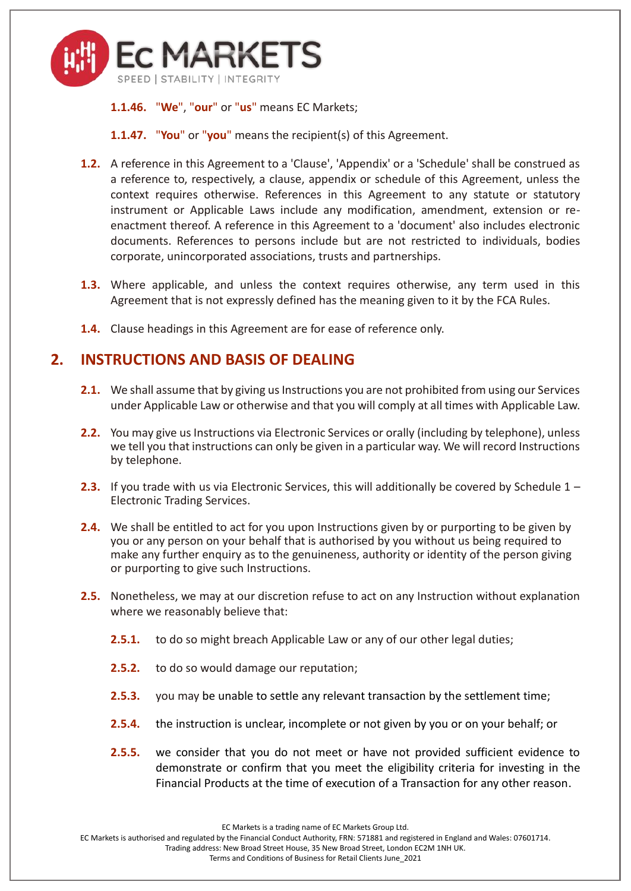

**1.1.46.** "**We**", "**our**" or "**us**" means EC Markets;

**1.1.47.** "**You**" or "**you**" means the recipient(s) of this Agreement.

- **1.2.** A reference in this Agreement to a 'Clause', 'Appendix' or a 'Schedule' shall be construed as a reference to, respectively, a clause, appendix or schedule of this Agreement, unless the context requires otherwise. References in this Agreement to any statute or statutory instrument or Applicable Laws include any modification, amendment, extension or reenactment thereof. A reference in this Agreement to a 'document' also includes electronic documents. References to persons include but are not restricted to individuals, bodies corporate, unincorporated associations, trusts and partnerships.
- **1.3.** Where applicable, and unless the context requires otherwise, any term used in this Agreement that is not expressly defined has the meaning given to it by the FCA Rules.
- **1.4.** Clause headings in this Agreement are for ease of reference only.

## **2. INSTRUCTIONS AND BASIS OF DEALING**

- **2.1.** We shall assume that by giving us Instructions you are not prohibited from using our Services under Applicable Law or otherwise and that you will comply at all times with Applicable Law.
- **2.2.** You may give us Instructions via Electronic Services or orally (including by telephone), unless we tell you that instructions can only be given in a particular way. We will record Instructions by telephone.
- **2.3.** If you trade with us via Electronic Services, this will additionally be covered by Schedule 1 Electronic Trading Services.
- **2.4.** We shall be entitled to act for you upon Instructions given by or purporting to be given by you or any person on your behalf that is authorised by you without us being required to make any further enquiry as to the genuineness, authority or identity of the person giving or purporting to give such Instructions.
- **2.5.** Nonetheless, we may at our discretion refuse to act on any Instruction without explanation where we reasonably believe that:
	- **2.5.1.** to do so might breach Applicable Law or any of our other legal duties;
	- **2.5.2.** to do so would damage our reputation;
	- **2.5.3.** you may be unable to settle any relevant transaction by the settlement time;
	- **2.5.4.** the instruction is unclear, incomplete or not given by you or on your behalf; or
	- **2.5.5.** we consider that you do not meet or have not provided sufficient evidence to demonstrate or confirm that you meet the eligibility criteria for investing in the Financial Products at the time of execution of a Transaction for any other reason.

EC Markets is a trading name of EC Markets Group Ltd.

EC Markets is authorised and regulated by the Financial Conduct Authority, FRN: 571881 and registered in England and Wales: 07601714.

Trading address: New Broad Street House, 35 New Broad Street, London EC2M 1NH UK.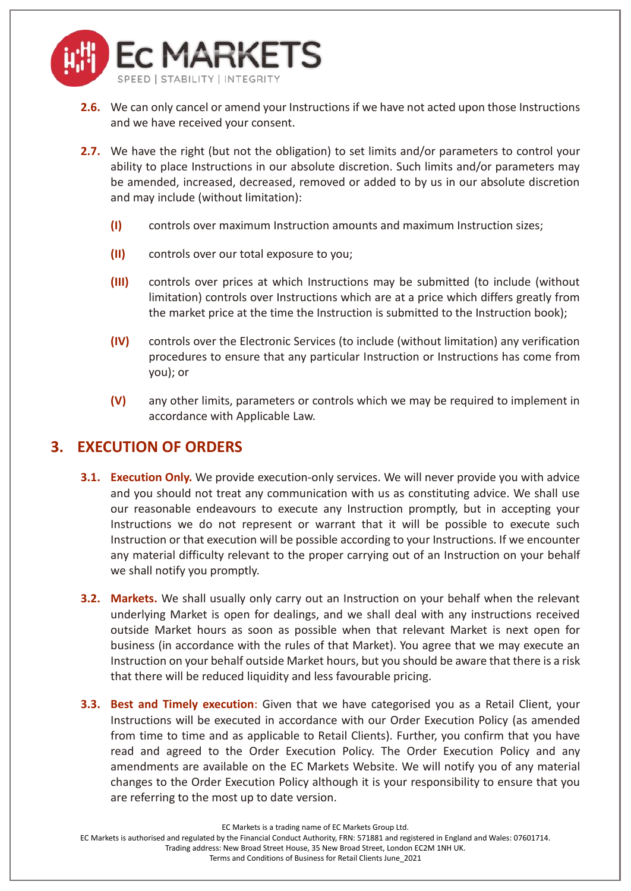

- **2.6.** We can only cancel or amend your Instructions if we have not acted upon those Instructions and we have received your consent.
- **2.7.** We have the right (but not the obligation) to set limits and/or parameters to control your ability to place Instructions in our absolute discretion. Such limits and/or parameters may be amended, increased, decreased, removed or added to by us in our absolute discretion and may include (without limitation):
	- **(I)** controls over maximum Instruction amounts and maximum Instruction sizes;
	- **(II)** controls over our total exposure to you;
	- **(III)** controls over prices at which Instructions may be submitted (to include (without limitation) controls over Instructions which are at a price which differs greatly from the market price at the time the Instruction is submitted to the Instruction book);
	- **(IV)** controls over the Electronic Services (to include (without limitation) any verification procedures to ensure that any particular Instruction or Instructions has come from you); or
	- **(V)** any other limits, parameters or controls which we may be required to implement in accordance with Applicable Law.

#### **3. EXECUTION OF ORDERS**

- **3.1. Execution Only.** We provide execution-only services. We will never provide you with advice and you should not treat any communication with us as constituting advice. We shall use our reasonable endeavours to execute any Instruction promptly, but in accepting your Instructions we do not represent or warrant that it will be possible to execute such Instruction or that execution will be possible according to your Instructions. If we encounter any material difficulty relevant to the proper carrying out of an Instruction on your behalf we shall notify you promptly.
- **3.2. Markets.** We shall usually only carry out an Instruction on your behalf when the relevant underlying Market is open for dealings, and we shall deal with any instructions received outside Market hours as soon as possible when that relevant Market is next open for business (in accordance with the rules of that Market). You agree that we may execute an Instruction on your behalf outside Market hours, but you should be aware that there is a risk that there will be reduced liquidity and less favourable pricing.
- **3.3. Best and Timely execution**: Given that we have categorised you as a Retail Client, your Instructions will be executed in accordance with our Order Execution Policy (as amended from time to time and as applicable to Retail Clients). Further, you confirm that you have read and agreed to the Order Execution Policy. The Order Execution Policy and any amendments are available on the EC Markets Website. We will notify you of any material changes to the Order Execution Policy although it is your responsibility to ensure that you are referring to the most up to date version.

EC Markets is a trading name of EC Markets Group Ltd.

EC Markets is authorised and regulated by the Financial Conduct Authority, FRN: 571881 and registered in England and Wales: 07601714.

Trading address: New Broad Street House, 35 New Broad Street, London EC2M 1NH UK.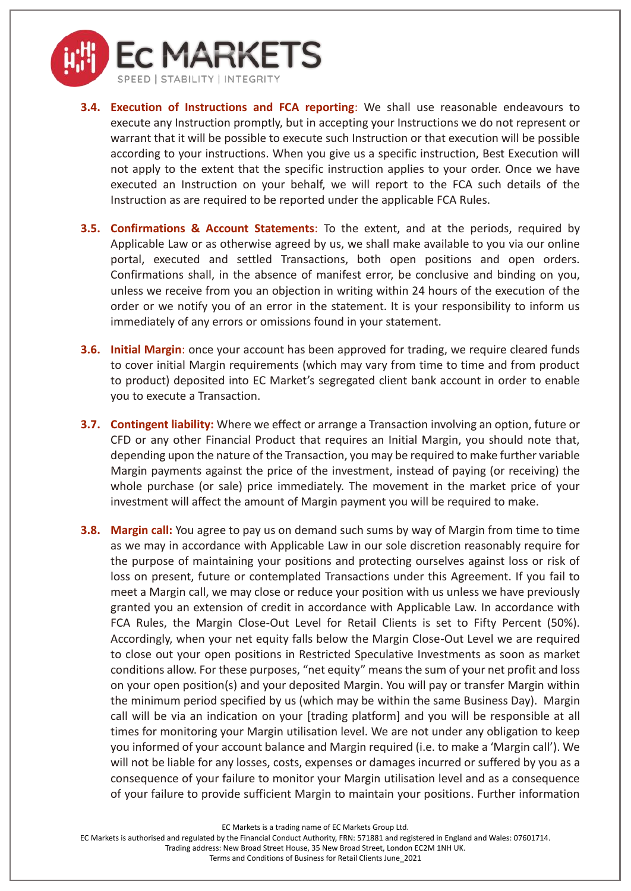

- **3.4. Execution of Instructions and FCA reporting**: We shall use reasonable endeavours to execute any Instruction promptly, but in accepting your Instructions we do not represent or warrant that it will be possible to execute such Instruction or that execution will be possible according to your instructions. When you give us a specific instruction, Best Execution will not apply to the extent that the specific instruction applies to your order. Once we have executed an Instruction on your behalf, we will report to the FCA such details of the Instruction as are required to be reported under the applicable FCA Rules.
- **3.5. Confirmations & Account Statements**: To the extent, and at the periods, required by Applicable Law or as otherwise agreed by us, we shall make available to you via our online portal, executed and settled Transactions, both open positions and open orders. Confirmations shall, in the absence of manifest error, be conclusive and binding on you, unless we receive from you an objection in writing within 24 hours of the execution of the order or we notify you of an error in the statement. It is your responsibility to inform us immediately of any errors or omissions found in your statement.
- **3.6. Initial Margin**: once your account has been approved for trading, we require cleared funds to cover initial Margin requirements (which may vary from time to time and from product to product) deposited into EC Market's segregated client bank account in order to enable you to execute a Transaction.
- **3.7. Contingent liability:** Where we effect or arrange a Transaction involving an option, future or CFD or any other Financial Product that requires an Initial Margin, you should note that, depending upon the nature of the Transaction, you may be required to make further variable Margin payments against the price of the investment, instead of paying (or receiving) the whole purchase (or sale) price immediately. The movement in the market price of your investment will affect the amount of Margin payment you will be required to make.
- **3.8. Margin call:** You agree to pay us on demand such sums by way of Margin from time to time as we may in accordance with Applicable Law in our sole discretion reasonably require for the purpose of maintaining your positions and protecting ourselves against loss or risk of loss on present, future or contemplated Transactions under this Agreement. If you fail to meet a Margin call, we may close or reduce your position with us unless we have previously granted you an extension of credit in accordance with Applicable Law. In accordance with FCA Rules, the Margin Close-Out Level for Retail Clients is set to Fifty Percent (50%). Accordingly, when your net equity falls below the Margin Close-Out Level we are required to close out your open positions in Restricted Speculative Investments as soon as market conditions allow. For these purposes, "net equity" means the sum of your net profit and loss on your open position(s) and your deposited Margin. You will pay or transfer Margin within the minimum period specified by us (which may be within the same Business Day). Margin call will be via an indication on your [trading platform] and you will be responsible at all times for monitoring your Margin utilisation level. We are not under any obligation to keep you informed of your account balance and Margin required (i.e. to make a 'Margin call'). We will not be liable for any losses, costs, expenses or damages incurred or suffered by you as a consequence of your failure to monitor your Margin utilisation level and as a consequence of your failure to provide sufficient Margin to maintain your positions. Further information

EC Markets is a trading name of EC Markets Group Ltd.

EC Markets is authorised and regulated by the Financial Conduct Authority, FRN: 571881 and registered in England and Wales: 07601714.

Trading address: New Broad Street House, 35 New Broad Street, London EC2M 1NH UK.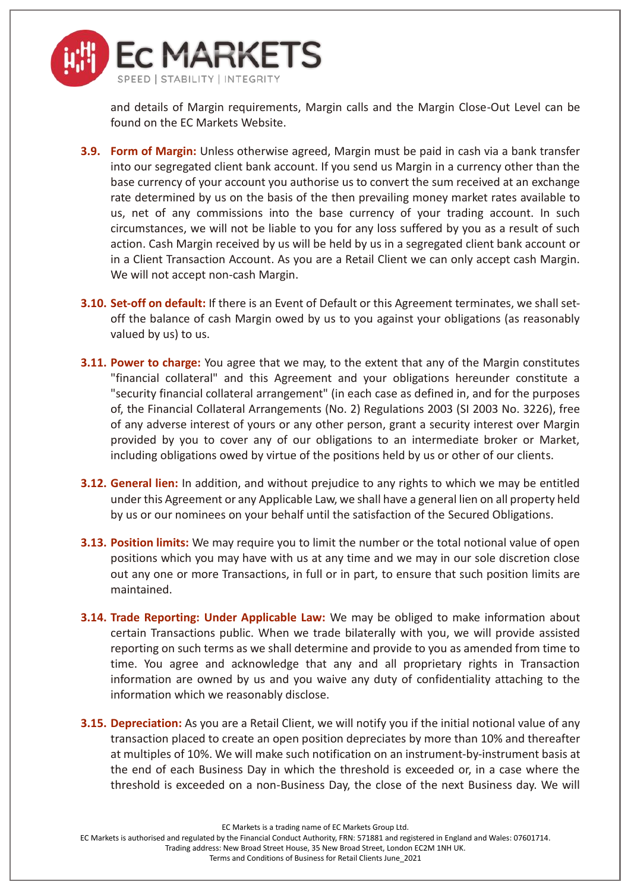

and details of Margin requirements, Margin calls and the Margin Close-Out Level can be found on the EC Markets Website.

- **3.9. Form of Margin:** Unless otherwise agreed, Margin must be paid in cash via a bank transfer into our segregated client bank account. If you send us Margin in a currency other than the base currency of your account you authorise us to convert the sum received at an exchange rate determined by us on the basis of the then prevailing money market rates available to us, net of any commissions into the base currency of your trading account. In such circumstances, we will not be liable to you for any loss suffered by you as a result of such action. Cash Margin received by us will be held by us in a segregated client bank account or in a Client Transaction Account. As you are a Retail Client we can only accept cash Margin. We will not accept non-cash Margin.
- **3.10. Set-off on default:** If there is an Event of Default or this Agreement terminates, we shall setoff the balance of cash Margin owed by us to you against your obligations (as reasonably valued by us) to us.
- **3.11. Power to charge:** You agree that we may, to the extent that any of the Margin constitutes "financial collateral" and this Agreement and your obligations hereunder constitute a "security financial collateral arrangement" (in each case as defined in, and for the purposes of, the Financial Collateral Arrangements (No. 2) Regulations 2003 (SI 2003 No. 3226), free of any adverse interest of yours or any other person, grant a security interest over Margin provided by you to cover any of our obligations to an intermediate broker or Market, including obligations owed by virtue of the positions held by us or other of our clients.
- **3.12. General lien:** In addition, and without prejudice to any rights to which we may be entitled under this Agreement or any Applicable Law, we shall have a general lien on all property held by us or our nominees on your behalf until the satisfaction of the Secured Obligations.
- **3.13. Position limits:** We may require you to limit the number or the total notional value of open positions which you may have with us at any time and we may in our sole discretion close out any one or more Transactions, in full or in part, to ensure that such position limits are maintained.
- **3.14. Trade Reporting: Under Applicable Law:** We may be obliged to make information about certain Transactions public. When we trade bilaterally with you, we will provide assisted reporting on such terms as we shall determine and provide to you as amended from time to time. You agree and acknowledge that any and all proprietary rights in Transaction information are owned by us and you waive any duty of confidentiality attaching to the information which we reasonably disclose.
- **3.15. Depreciation:** As you are a Retail Client, we will notify you if the initial notional value of any transaction placed to create an open position depreciates by more than 10% and thereafter at multiples of 10%. We will make such notification on an instrument-by-instrument basis at the end of each Business Day in which the threshold is exceeded or, in a case where the threshold is exceeded on a non-Business Day, the close of the next Business day. We will

EC Markets is a trading name of EC Markets Group Ltd.

EC Markets is authorised and regulated by the Financial Conduct Authority, FRN: 571881 and registered in England and Wales: 07601714.

Trading address: New Broad Street House, 35 New Broad Street, London EC2M 1NH UK.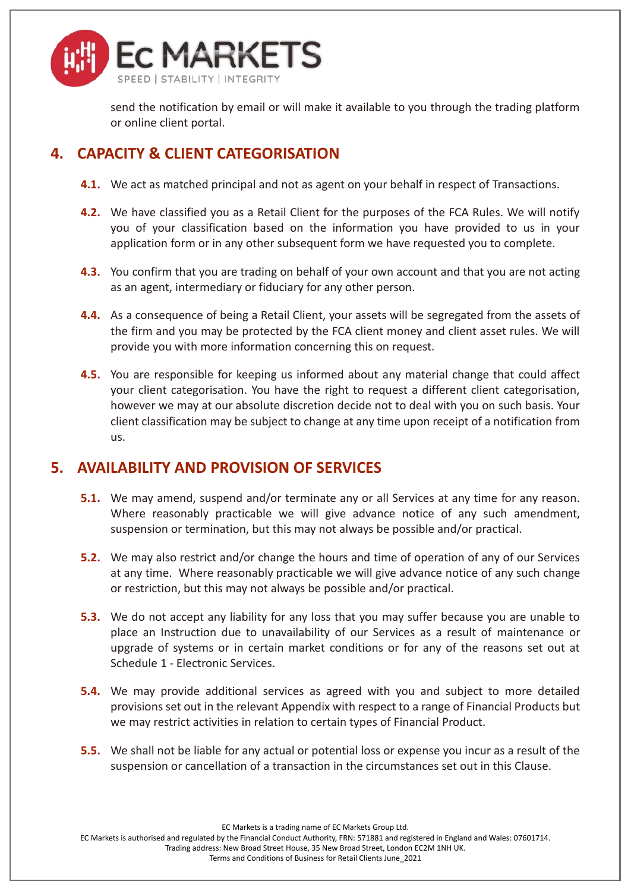

send the notification by email or will make it available to you through the trading platform or online client portal.

# **4. CAPACITY & CLIENT CATEGORISATION**

- **4.1.** We act as matched principal and not as agent on your behalf in respect of Transactions.
- <span id="page-10-0"></span>**4.2.** We have classified you as a Retail Client for the purposes of the FCA Rules. We will notify you of your classification based on the information you have provided to us in your application form or in any other subsequent form we have requested you to complete.
- **4.3.** You confirm that you are trading on behalf of your own account and that you are not acting as an agent, intermediary or fiduciary for any other person.
- **4.4.** As a consequence of being a Retail Client, your assets will be segregated from the assets of the firm and you may be protected by the FCA client money and client asset rules. We will provide you with more information concerning this on request.
- **4.5.** You are responsible for keeping us informed about any material change that could affect your client categorisation. You have the right to request a different client categorisation, however we may at our absolute discretion decide not to deal with you on such basis. Your client classification may be subject to change at any time upon receipt of a notification from us.

#### **5. AVAILABILITY AND PROVISION OF SERVICES**

- **5.1.** We may amend, suspend and/or terminate any or all Services at any time for any reason. Where reasonably practicable we will give advance notice of any such amendment, suspension or termination, but this may not always be possible and/or practical.
- **5.2.** We may also restrict and/or change the hours and time of operation of any of our Services at any time. Where reasonably practicable we will give advance notice of any such change or restriction, but this may not always be possible and/or practical.
- **5.3.** We do not accept any liability for any loss that you may suffer because you are unable to place an Instruction due to unavailability of our Services as a result of maintenance or upgrade of systems or in certain market conditions or for any of the reasons set out at Schedule 1 - Electronic Services.
- **5.4.** We may provide additional services as agreed with you and subject to more detailed provisions set out in the relevant Appendix with respect to a range of Financial Products but we may restrict activities in relation to certain types of Financial Product.
- **5.5.** We shall not be liable for any actual or potential loss or expense you incur as a result of the suspension or cancellation of a transaction in the circumstances set out in this Clause.

EC Markets is a trading name of EC Markets Group Ltd.

EC Markets is authorised and regulated by the Financial Conduct Authority, FRN: 571881 and registered in England and Wales: 07601714.

Trading address: New Broad Street House, 35 New Broad Street, London EC2M 1NH UK.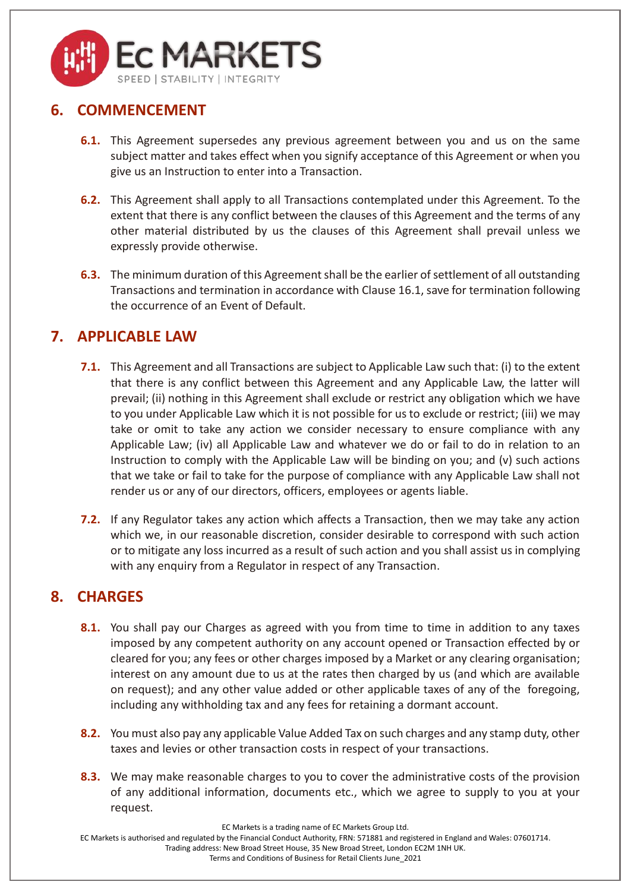

# **6. COMMENCEMENT**

- **6.1.** This Agreement supersedes any previous agreement between you and us on the same subject matter and takes effect when you signify acceptance of this Agreement or when you give us an Instruction to enter into a Transaction.
- **6.2.** This Agreement shall apply to all Transactions contemplated under this Agreement. To the extent that there is any conflict between the clauses of this Agreement and the terms of any other material distributed by us the clauses of this Agreement shall prevail unless we expressly provide otherwise.
- **6.3.** The minimum duration of this Agreement shall be the earlier of settlement of all outstanding Transactions and termination in accordance with Clause [16.1,](#page-18-0) save for termination following the occurrence of an Event of Default.

# <span id="page-11-0"></span>**7. APPLICABLE LAW**

- **7.1.** This Agreement and all Transactions are subject to Applicable Law such that: (i) to the extent that there is any conflict between this Agreement and any Applicable Law, the latter will prevail; (ii) nothing in this Agreement shall exclude or restrict any obligation which we have to you under Applicable Law which it is not possible for us to exclude or restrict; (iii) we may take or omit to take any action we consider necessary to ensure compliance with any Applicable Law; (iv) all Applicable Law and whatever we do or fail to do in relation to an Instruction to comply with the Applicable Law will be binding on you; and (v) such actions that we take or fail to take for the purpose of compliance with any Applicable Law shall not render us or any of our directors, officers, employees or agents liable.
- **7.2.** If any Regulator takes any action which affects a Transaction, then we may take any action which we, in our reasonable discretion, consider desirable to correspond with such action or to mitigate any loss incurred as a result of such action and you shall assist us in complying with any enquiry from a Regulator in respect of any Transaction.

# <span id="page-11-1"></span>**8. CHARGES**

- **8.1.** You shall pay our Charges as agreed with you from time to time in addition to any taxes imposed by any competent authority on any account opened or Transaction effected by or cleared for you; any fees or other charges imposed by a Market or any clearing organisation; interest on any amount due to us at the rates then charged by us (and which are available on request); and any other value added or other applicable taxes of any of the foregoing, including any withholding tax and any fees for retaining a dormant account.
- **8.2.** You must also pay any applicable Value Added Tax on such charges and any stamp duty, other taxes and levies or other transaction costs in respect of your transactions.
- **8.3.** We may make reasonable charges to you to cover the administrative costs of the provision of any additional information, documents etc., which we agree to supply to you at your request.

EC Markets is a trading name of EC Markets Group Ltd.

EC Markets is authorised and regulated by the Financial Conduct Authority, FRN: 571881 and registered in England and Wales: 07601714.

Trading address: New Broad Street House, 35 New Broad Street, London EC2M 1NH UK.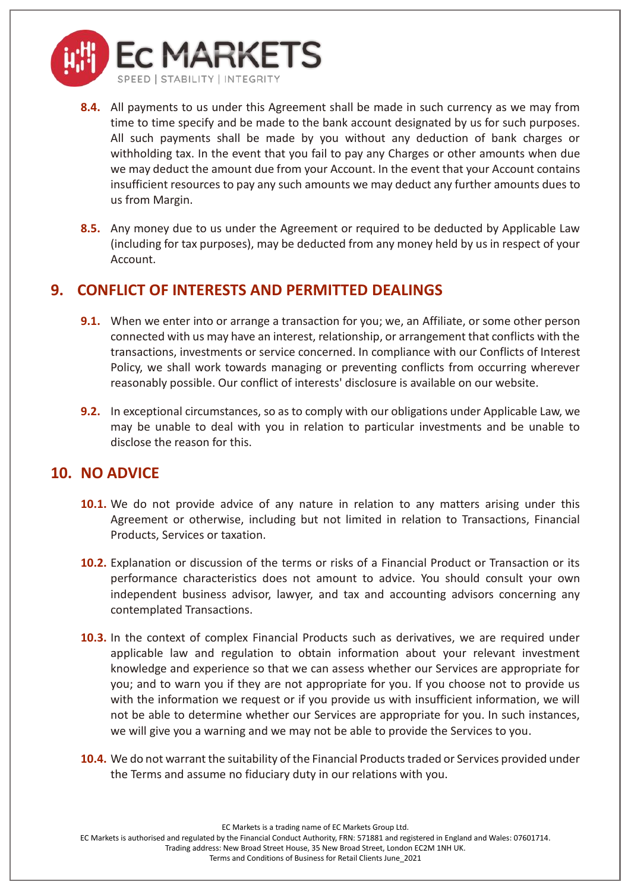

- **8.4.** All payments to us under this Agreement shall be made in such currency as we may from time to time specify and be made to the bank account designated by us for such purposes. All such payments shall be made by you without any deduction of bank charges or withholding tax. In the event that you fail to pay any Charges or other amounts when due we may deduct the amount due from your Account. In the event that your Account contains insufficient resources to pay any such amounts we may deduct any further amounts dues to us from Margin.
- <span id="page-12-0"></span>**8.5.** Any money due to us under the Agreement or required to be deducted by Applicable Law (including for tax purposes), may be deducted from any money held by us in respect of your Account.

## **9. CONFLICT OF INTERESTS AND PERMITTED DEALINGS**

- **9.1.** When we enter into or arrange a transaction for you; we, an Affiliate, or some other person connected with us may have an interest, relationship, or arrangement that conflicts with the transactions, investments or service concerned. In compliance with our Conflicts of Interest Policy, we shall work towards managing or preventing conflicts from occurring wherever reasonably possible. Our conflict of interests' disclosure is available on our website.
- **9.2.** In exceptional circumstances, so as to comply with our obligations under Applicable Law, we may be unable to deal with you in relation to particular investments and be unable to disclose the reason for this.

#### **10. NO ADVICE**

- **10.1.** We do not provide advice of any nature in relation to any matters arising under this Agreement or otherwise, including but not limited in relation to Transactions, Financial Products, Services or taxation.
- **10.2.** Explanation or discussion of the terms or risks of a Financial Product or Transaction or its performance characteristics does not amount to advice. You should consult your own independent business advisor, lawyer, and tax and accounting advisors concerning any contemplated Transactions.
- **10.3.** In the context of complex Financial Products such as derivatives, we are required under applicable law and regulation to obtain information about your relevant investment knowledge and experience so that we can assess whether our Services are appropriate for you; and to warn you if they are not appropriate for you. If you choose not to provide us with the information we request or if you provide us with insufficient information, we will not be able to determine whether our Services are appropriate for you. In such instances, we will give you a warning and we may not be able to provide the Services to you.
- **10.4.** We do not warrant the suitability of the Financial Products traded or Services provided under the Terms and assume no fiduciary duty in our relations with you.

EC Markets is a trading name of EC Markets Group Ltd.

EC Markets is authorised and regulated by the Financial Conduct Authority, FRN: 571881 and registered in England and Wales: 07601714.

Trading address: New Broad Street House, 35 New Broad Street, London EC2M 1NH UK.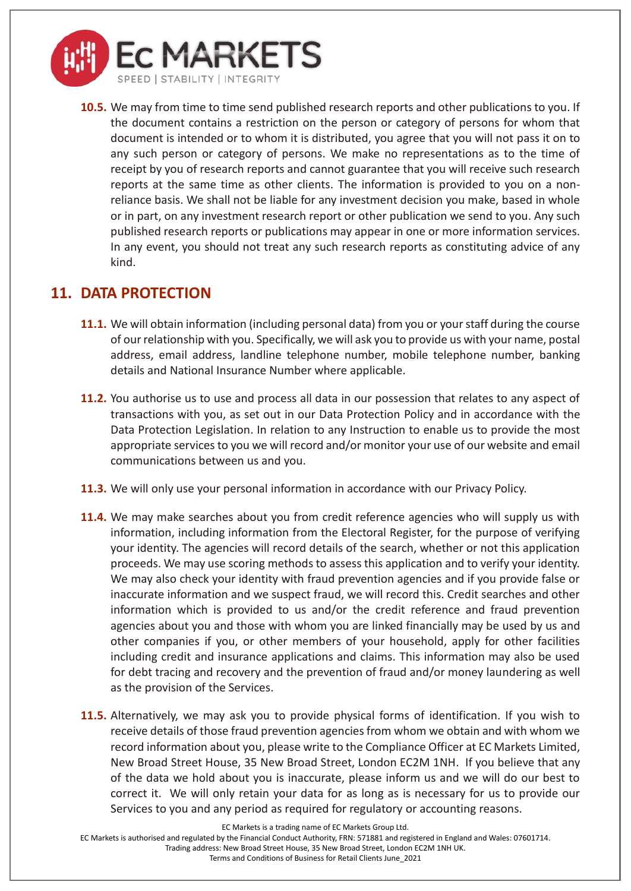

**10.5.** We may from time to time send published research reports and other publications to you. If the document contains a restriction on the person or category of persons for whom that document is intended or to whom it is distributed, you agree that you will not pass it on to any such person or category of persons. We make no representations as to the time of receipt by you of research reports and cannot guarantee that you will receive such research reports at the same time as other clients. The information is provided to you on a nonreliance basis. We shall not be liable for any investment decision you make, based in whole or in part, on any investment research report or other publication we send to you. Any such published research reports or publications may appear in one or more information services. In any event, you should not treat any such research reports as constituting advice of any kind.

#### **11. DATA PROTECTION**

- **11.1.** We will obtain information (including personal data) from you or your staff during the course of our relationship with you. Specifically, we will ask you to provide us with your name, postal address, email address, landline telephone number, mobile telephone number, banking details and National Insurance Number where applicable.
- **11.2.** You authorise us to use and process all data in our possession that relates to any aspect of transactions with you, as set out in our Data Protection Policy and in accordance with the Data Protection Legislation. In relation to any Instruction to enable us to provide the most appropriate services to you we will record and/or monitor your use of our website and email communications between us and you.
- **11.3.** We will only use your personal information in accordance with our Privacy Policy.
- **11.4.** We may make searches about you from credit reference agencies who will supply us with information, including information from the Electoral Register, for the purpose of verifying your identity. The agencies will record details of the search, whether or not this application proceeds. We may use scoring methods to assess this application and to verify your identity. We may also check your identity with fraud prevention agencies and if you provide false or inaccurate information and we suspect fraud, we will record this. Credit searches and other information which is provided to us and/or the credit reference and fraud prevention agencies about you and those with whom you are linked financially may be used by us and other companies if you, or other members of your household, apply for other facilities including credit and insurance applications and claims. This information may also be used for debt tracing and recovery and the prevention of fraud and/or money laundering as well as the provision of the Services.
- **11.5.** Alternatively, we may ask you to provide physical forms of identification. If you wish to receive details of those fraud prevention agencies from whom we obtain and with whom we record information about you, please write to the Compliance Officer at EC Markets Limited, New Broad Street House, 35 New Broad Street, London EC2M 1NH. If you believe that any of the data we hold about you is inaccurate, please inform us and we will do our best to correct it. We will only retain your data for as long as is necessary for us to provide our Services to you and any period as required for regulatory or accounting reasons.

EC Markets is a trading name of EC Markets Group Ltd.

EC Markets is authorised and regulated by the Financial Conduct Authority, FRN: 571881 and registered in England and Wales: 07601714.

Trading address: New Broad Street House, 35 New Broad Street, London EC2M 1NH UK.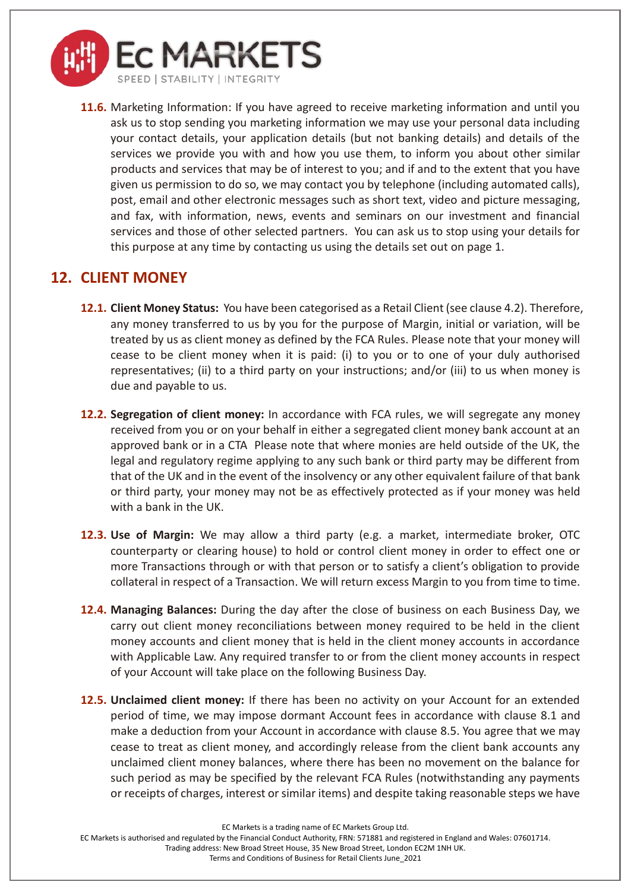

**11.6.** Marketing Information: If you have agreed to receive marketing information and until you ask us to stop sending you marketing information we may use your personal data including your contact details, your application details (but not banking details) and details of the services we provide you with and how you use them, to inform you about other similar products and services that may be of interest to you; and if and to the extent that you have given us permission to do so, we may contact you by telephone (including automated calls), post, email and other electronic messages such as short text, video and picture messaging, and fax, with information, news, events and seminars on our investment and financial services and those of other selected partners. You can ask us to stop using your details for this purpose at any time by contacting us using the details set out on page 1.

## **12. CLIENT MONEY**

- **12.1. Client Money Status:** You have been categorised as a Retail Client (see claus[e 4.2\)](#page-10-0). Therefore, any money transferred to us by you for the purpose of Margin, initial or variation, will be treated by us as client money as defined by the FCA Rules. Please note that your money will cease to be client money when it is paid: (i) to you or to one of your duly authorised representatives; (ii) to a third party on your instructions; and/or (iii) to us when money is due and payable to us.
- **12.2. Segregation of client money:** In accordance with FCA rules, we will segregate any money received from you or on your behalf in either a segregated client money bank account at an approved bank or in a CTA Please note that where monies are held outside of the UK, the legal and regulatory regime applying to any such bank or third party may be different from that of the UK and in the event of the insolvency or any other equivalent failure of that bank or third party, your money may not be as effectively protected as if your money was held with a bank in the UK.
- **12.3. Use of Margin:** We may allow a third party (e.g. a market, intermediate broker, OTC counterparty or clearing house) to hold or control client money in order to effect one or more Transactions through or with that person or to satisfy a client's obligation to provide collateral in respect of a Transaction. We will return excess Margin to you from time to time.
- **12.4. Managing Balances:** During the day after the close of business on each Business Day, we carry out client money reconciliations between money required to be held in the client money accounts and client money that is held in the client money accounts in accordance with Applicable Law. Any required transfer to or from the client money accounts in respect of your Account will take place on the following Business Day.
- **12.5. Unclaimed client money:** If there has been no activity on your Account for an extended period of time, we may impose dormant Account fees in accordance with clause [8.1](#page-11-1) and make a deduction from your Account in accordance with clause [8.5.](#page-12-0) You agree that we may cease to treat as client money, and accordingly release from the client bank accounts any unclaimed client money balances, where there has been no movement on the balance for such period as may be specified by the relevant FCA Rules (notwithstanding any payments or receipts of charges, interest or similar items) and despite taking reasonable steps we have

EC Markets is a trading name of EC Markets Group Ltd.

EC Markets is authorised and regulated by the Financial Conduct Authority, FRN: 571881 and registered in England and Wales: 07601714.

Trading address: New Broad Street House, 35 New Broad Street, London EC2M 1NH UK.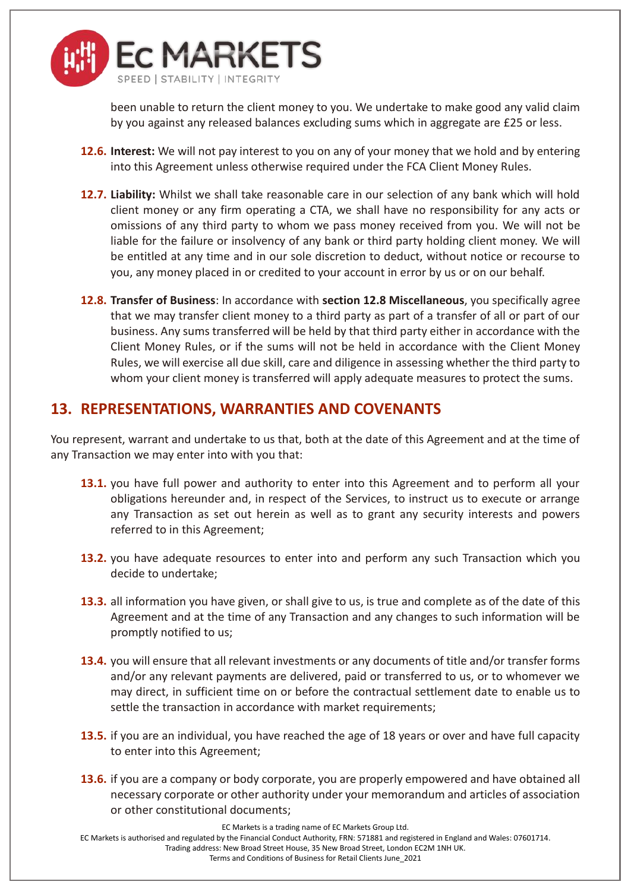

been unable to return the client money to you. We undertake to make good any valid claim by you against any released balances excluding sums which in aggregate are £25 or less.

- **12.6. Interest:** We will not pay interest to you on any of your money that we hold and by entering into this Agreement unless otherwise required under the FCA Client Money Rules.
- **12.7. Liability:** Whilst we shall take reasonable care in our selection of any bank which will hold client money or any firm operating a CTA, we shall have no responsibility for any acts or omissions of any third party to whom we pass money received from you. We will not be liable for the failure or insolvency of any bank or third party holding client money. We will be entitled at any time and in our sole discretion to deduct, without notice or recourse to you, any money placed in or credited to your account in error by us or on our behalf.
- <span id="page-15-0"></span>**12.8. Transfer of Business**: In accordance with **section [12.8](#page-15-0) Miscellaneous**, you specifically agree that we may transfer client money to a third party as part of a transfer of all or part of our business. Any sums transferred will be held by that third party either in accordance with the Client Money Rules, or if the sums will not be held in accordance with the Client Money Rules, we will exercise all due skill, care and diligence in assessing whether the third party to whom your client money is transferred will apply adequate measures to protect the sums.

## **13. REPRESENTATIONS, WARRANTIES AND COVENANTS**

You represent, warrant and undertake to us that, both at the date of this Agreement and at the time of any Transaction we may enter into with you that:

- **13.1.** you have full power and authority to enter into this Agreement and to perform all your obligations hereunder and, in respect of the Services, to instruct us to execute or arrange any Transaction as set out herein as well as to grant any security interests and powers referred to in this Agreement;
- **13.2.** you have adequate resources to enter into and perform any such Transaction which you decide to undertake;
- **13.3.** all information you have given, or shall give to us, is true and complete as of the date of this Agreement and at the time of any Transaction and any changes to such information will be promptly notified to us;
- **13.4.** you will ensure that all relevant investments or any documents of title and/or transfer forms and/or any relevant payments are delivered, paid or transferred to us, or to whomever we may direct, in sufficient time on or before the contractual settlement date to enable us to settle the transaction in accordance with market requirements;
- **13.5.** if you are an individual, you have reached the age of 18 years or over and have full capacity to enter into this Agreement;
- **13.6.** if you are a company or body corporate, you are properly empowered and have obtained all necessary corporate or other authority under your memorandum and articles of association or other constitutional documents;

EC Markets is a trading name of EC Markets Group Ltd.

EC Markets is authorised and regulated by the Financial Conduct Authority, FRN: 571881 and registered in England and Wales: 07601714.

Trading address: New Broad Street House, 35 New Broad Street, London EC2M 1NH UK.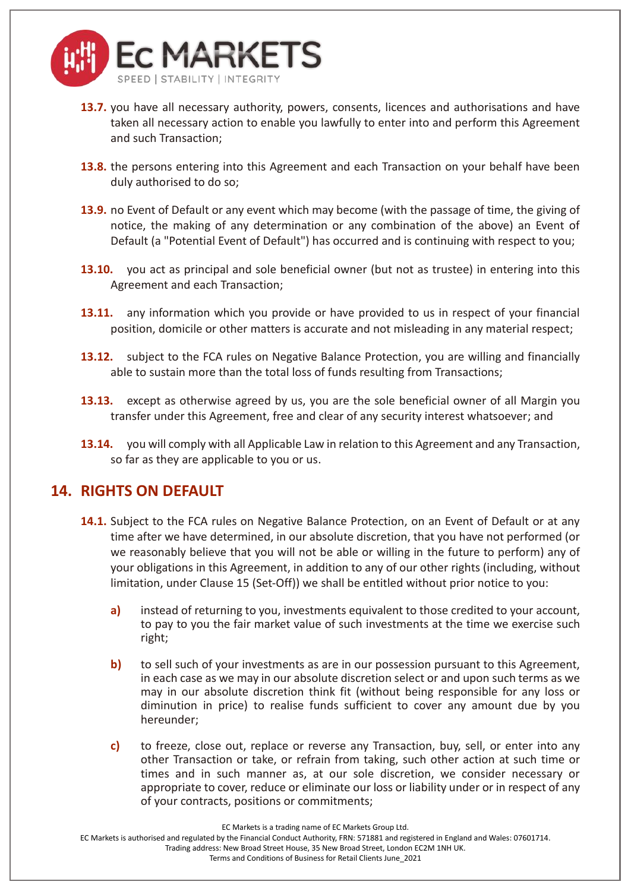

- **13.7.** you have all necessary authority, powers, consents, licences and authorisations and have taken all necessary action to enable you lawfully to enter into and perform this Agreement and such Transaction;
- **13.8.** the persons entering into this Agreement and each Transaction on your behalf have been duly authorised to do so;
- **13.9.** no Event of Default or any event which may become (with the passage of time, the giving of notice, the making of any determination or any combination of the above) an Event of Default (a "Potential Event of Default") has occurred and is continuing with respect to you;
- **13.10.** you act as principal and sole beneficial owner (but not as trustee) in entering into this Agreement and each Transaction;
- **13.11.** any information which you provide or have provided to us in respect of your financial position, domicile or other matters is accurate and not misleading in any material respect;
- **13.12.** subject to the FCA rules on Negative Balance Protection, you are willing and financially able to sustain more than the total loss of funds resulting from Transactions;
- **13.13.** except as otherwise agreed by us, you are the sole beneficial owner of all Margin you transfer under this Agreement, free and clear of any security interest whatsoever; and
- **13.14.** you will comply with all Applicable Law in relation to this Agreement and any Transaction, so far as they are applicable to you or us.

#### **14. RIGHTS ON DEFAULT**

- **14.1.** Subject to the FCA rules on Negative Balance Protection, on an Event of Default or at any time after we have determined, in our absolute discretion, that you have not performed (or we reasonably believe that you will not be able or willing in the future to perform) any of your obligations in this Agreement, in addition to any of our other rights (including, without limitation, under Clause [15](#page-17-0) (Set-Off)) we shall be entitled without prior notice to you:
	- **a)** instead of returning to you, investments equivalent to those credited to your account, to pay to you the fair market value of such investments at the time we exercise such right;
	- **b)** to sell such of your investments as are in our possession pursuant to this Agreement, in each case as we may in our absolute discretion select or and upon such terms as we may in our absolute discretion think fit (without being responsible for any loss or diminution in price) to realise funds sufficient to cover any amount due by you hereunder;
	- **c)** to freeze, close out, replace or reverse any Transaction, buy, sell, or enter into any other Transaction or take, or refrain from taking, such other action at such time or times and in such manner as, at our sole discretion, we consider necessary or appropriate to cover, reduce or eliminate our loss or liability under or in respect of any of your contracts, positions or commitments;

EC Markets is a trading name of EC Markets Group Ltd.

EC Markets is authorised and regulated by the Financial Conduct Authority, FRN: 571881 and registered in England and Wales: 07601714.

Trading address: New Broad Street House, 35 New Broad Street, London EC2M 1NH UK.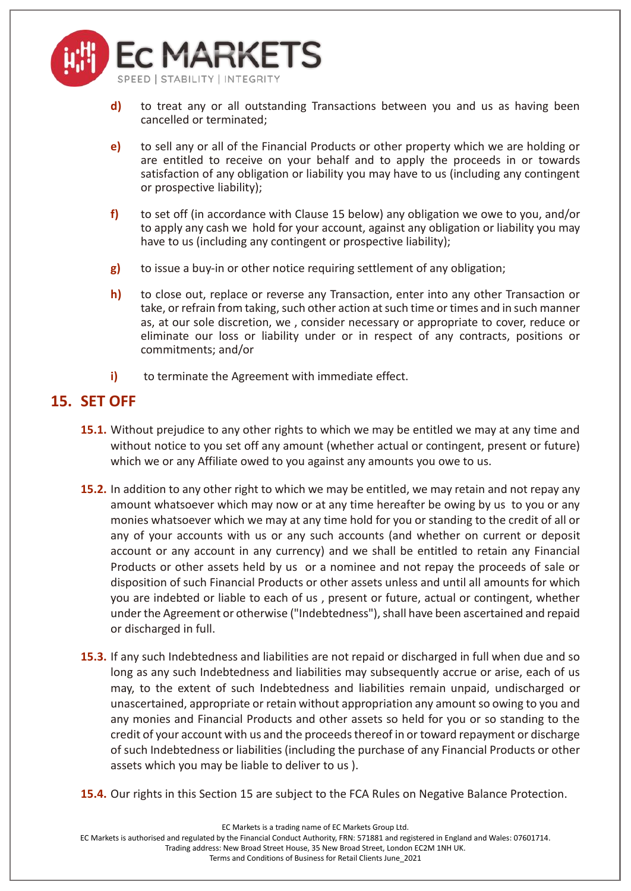

- **d)** to treat any or all outstanding Transactions between you and us as having been cancelled or terminated;
- **e)** to sell any or all of the Financial Products or other property which we are holding or are entitled to receive on your behalf and to apply the proceeds in or towards satisfaction of any obligation or liability you may have to us (including any contingent or prospective liability);
- **f)** to set off (in accordance with Clause [15](#page-17-0) below) any obligation we owe to you, and/or to apply any cash we hold for your account, against any obligation or liability you may have to us (including any contingent or prospective liability);
- **g)** to issue a buy-in or other notice requiring settlement of any obligation;
- **h)** to close out, replace or reverse any Transaction, enter into any other Transaction or take, or refrain from taking, such other action at such time or times and in such manner as, at our sole discretion, we , consider necessary or appropriate to cover, reduce or eliminate our loss or liability under or in respect of any contracts, positions or commitments; and/or
- **i)** to terminate the Agreement with immediate effect.

## <span id="page-17-0"></span>**15. SET OFF**

- **15.1.** Without prejudice to any other rights to which we may be entitled we may at any time and without notice to you set off any amount (whether actual or contingent, present or future) which we or any Affiliate owed to you against any amounts you owe to us.
- **15.2.** In addition to any other right to which we may be entitled, we may retain and not repay any amount whatsoever which may now or at any time hereafter be owing by us to you or any monies whatsoever which we may at any time hold for you or standing to the credit of all or any of your accounts with us or any such accounts (and whether on current or deposit account or any account in any currency) and we shall be entitled to retain any Financial Products or other assets held by us or a nominee and not repay the proceeds of sale or disposition of such Financial Products or other assets unless and until all amounts for which you are indebted or liable to each of us , present or future, actual or contingent, whether under the Agreement or otherwise ("Indebtedness"), shall have been ascertained and repaid or discharged in full.
- **15.3.** If any such Indebtedness and liabilities are not repaid or discharged in full when due and so long as any such Indebtedness and liabilities may subsequently accrue or arise, each of us may, to the extent of such Indebtedness and liabilities remain unpaid, undischarged or unascertained, appropriate or retain without appropriation any amount so owing to you and any monies and Financial Products and other assets so held for you or so standing to the credit of your account with us and the proceeds thereof in or toward repayment or discharge of such Indebtedness or liabilities (including the purchase of any Financial Products or other assets which you may be liable to deliver to us ).
- **15.4.** Our rights in this Section [15](#page-17-0) are subject to the FCA Rules on Negative Balance Protection.

EC Markets is authorised and regulated by the Financial Conduct Authority, FRN: 571881 and registered in England and Wales: 07601714. Trading address: New Broad Street House, 35 New Broad Street, London EC2M 1NH UK.

EC Markets is a trading name of EC Markets Group Ltd.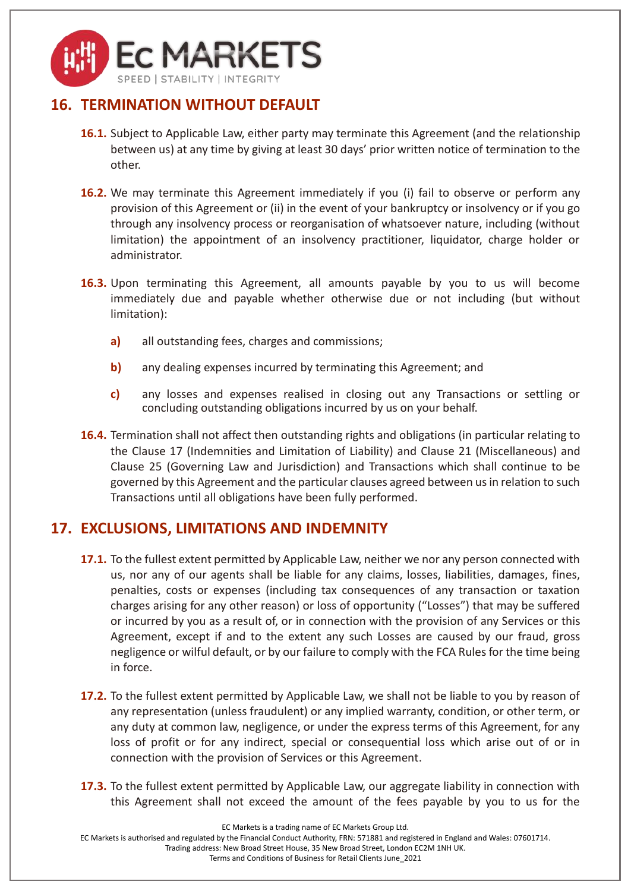

## <span id="page-18-0"></span>**16. TERMINATION WITHOUT DEFAULT**

- **16.1.** Subject to Applicable Law, either party may terminate this Agreement (and the relationship between us) at any time by giving at least 30 days' prior written notice of termination to the other.
- **16.2.** We may terminate this Agreement immediately if you (i) fail to observe or perform any provision of this Agreement or (ii) in the event of your bankruptcy or insolvency or if you go through any insolvency process or reorganisation of whatsoever nature, including (without limitation) the appointment of an insolvency practitioner, liquidator, charge holder or administrator.
- **16.3.** Upon terminating this Agreement, all amounts payable by you to us will become immediately due and payable whether otherwise due or not including (but without limitation):
	- **a)** all outstanding fees, charges and commissions;
	- **b)** any dealing expenses incurred by terminating this Agreement; and
	- **c)** any losses and expenses realised in closing out any Transactions or settling or concluding outstanding obligations incurred by us on your behalf.
- **16.4.** Termination shall not affect then outstanding rights and obligations (in particular relating to the Clause [17](#page-18-1) (Indemnities and Limitation of Liability) and Clause [21](#page-20-0) (Miscellaneous) and Clause [25](#page-25-0) (Governing Law and Jurisdiction) and Transactions which shall continue to be governed by this Agreement and the particular clauses agreed between us in relation to such Transactions until all obligations have been fully performed.

#### <span id="page-18-1"></span>**17. EXCLUSIONS, LIMITATIONS AND INDEMNITY**

- **17.1.** To the fullest extent permitted by Applicable Law, neither we nor any person connected with us, nor any of our agents shall be liable for any claims, losses, liabilities, damages, fines, penalties, costs or expenses (including tax consequences of any transaction or taxation charges arising for any other reason) or loss of opportunity ("Losses") that may be suffered or incurred by you as a result of, or in connection with the provision of any Services or this Agreement, except if and to the extent any such Losses are caused by our fraud, gross negligence or wilful default, or by our failure to comply with the FCA Rules for the time being in force.
- **17.2.** To the fullest extent permitted by Applicable Law, we shall not be liable to you by reason of any representation (unless fraudulent) or any implied warranty, condition, or other term, or any duty at common law, negligence, or under the express terms of this Agreement, for any loss of profit or for any indirect, special or consequential loss which arise out of or in connection with the provision of Services or this Agreement.
- **17.3.** To the fullest extent permitted by Applicable Law, our aggregate liability in connection with this Agreement shall not exceed the amount of the fees payable by you to us for the

EC Markets is a trading name of EC Markets Group Ltd.

EC Markets is authorised and regulated by the Financial Conduct Authority, FRN: 571881 and registered in England and Wales: 07601714.

Trading address: New Broad Street House, 35 New Broad Street, London EC2M 1NH UK.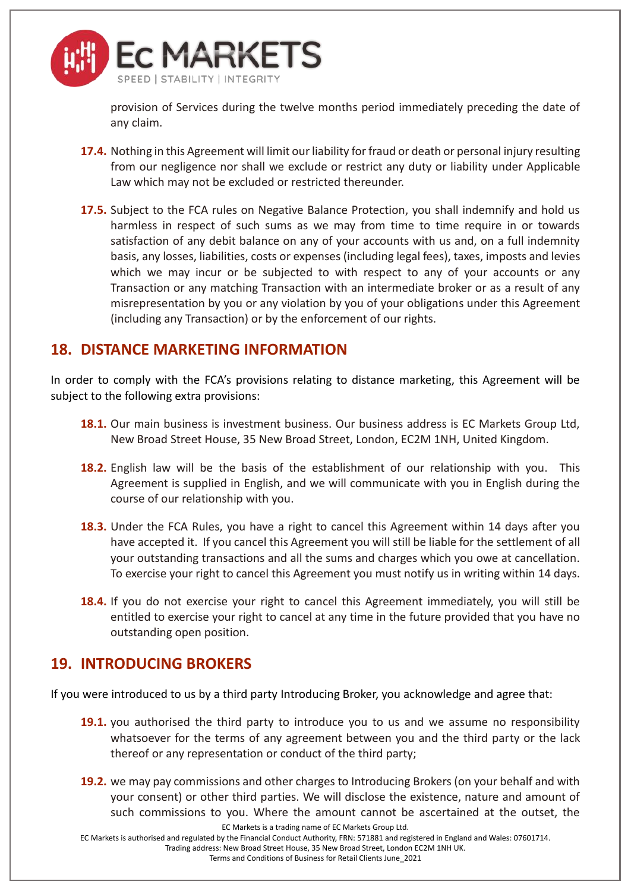

provision of Services during the twelve months period immediately preceding the date of any claim.

- **17.4.** Nothing in this Agreement will limit our liability for fraud or death or personal injury resulting from our negligence nor shall we exclude or restrict any duty or liability under Applicable Law which may not be excluded or restricted thereunder.
- **17.5.** Subject to the FCA rules on Negative Balance Protection, you shall indemnify and hold us harmless in respect of such sums as we may from time to time require in or towards satisfaction of any debit balance on any of your accounts with us and, on a full indemnity basis, any losses, liabilities, costs or expenses (including legal fees), taxes, imposts and levies which we may incur or be subjected to with respect to any of your accounts or any Transaction or any matching Transaction with an intermediate broker or as a result of any misrepresentation by you or any violation by you of your obligations under this Agreement (including any Transaction) or by the enforcement of our rights.

#### **18. DISTANCE MARKETING INFORMATION**

In order to comply with the FCA's provisions relating to distance marketing, this Agreement will be subject to the following extra provisions:

- **18.1.** Our main business is investment business. Our business address is EC Markets Group Ltd, New Broad Street House, 35 New Broad Street, London, EC2M 1NH, United Kingdom.
- **18.2.** English law will be the basis of the establishment of our relationship with you. This Agreement is supplied in English, and we will communicate with you in English during the course of our relationship with you.
- **18.3.** Under the FCA Rules, you have a right to cancel this Agreement within 14 days after you have accepted it. If you cancel this Agreement you will still be liable for the settlement of all your outstanding transactions and all the sums and charges which you owe at cancellation. To exercise your right to cancel this Agreement you must notify us in writing within 14 days.
- **18.4.** If you do not exercise your right to cancel this Agreement immediately, you will still be entitled to exercise your right to cancel at any time in the future provided that you have no outstanding open position.

#### **19. INTRODUCING BROKERS**

If you were introduced to us by a third party Introducing Broker, you acknowledge and agree that:

- **19.1.** you authorised the third party to introduce you to us and we assume no responsibility whatsoever for the terms of any agreement between you and the third party or the lack thereof or any representation or conduct of the third party;
- **19.2.** we may pay commissions and other charges to Introducing Brokers (on your behalf and with your consent) or other third parties. We will disclose the existence, nature and amount of such commissions to you. Where the amount cannot be ascertained at the outset, the

EC Markets is a trading name of EC Markets Group Ltd.

EC Markets is authorised and regulated by the Financial Conduct Authority, FRN: 571881 and registered in England and Wales: 07601714.

Trading address: New Broad Street House, 35 New Broad Street, London EC2M 1NH UK.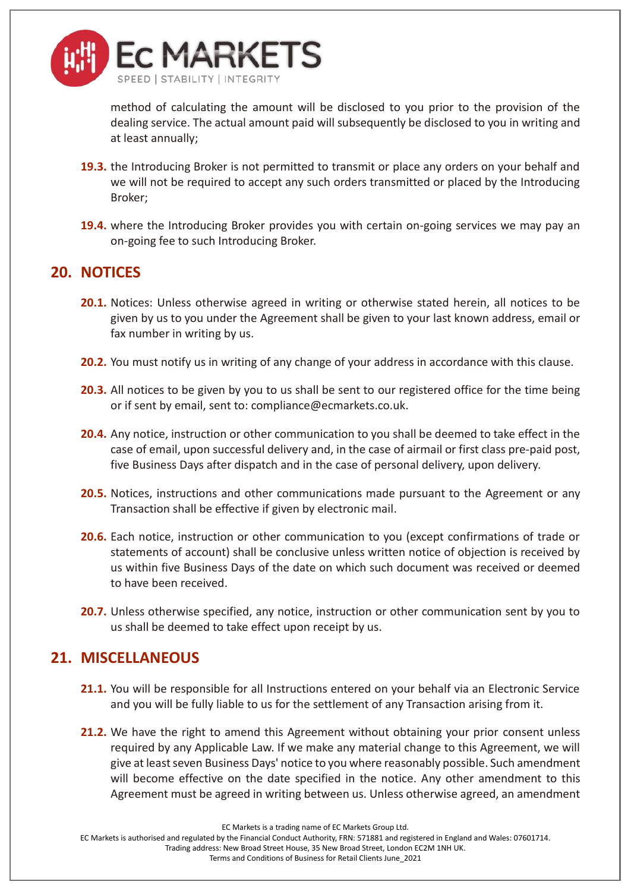

method of calculating the amount will be disclosed to you prior to the provision of the dealing service. The actual amount paid will subsequently be disclosed to you in writing and at least annually;

- **19.3.** the Introducing Broker is not permitted to transmit or place any orders on your behalf and we will not be required to accept any such orders transmitted or placed by the Introducing Broker;
- **19.4.** where the Introducing Broker provides you with certain on-going services we may pay an on-going fee to such Introducing Broker.

#### <span id="page-20-1"></span>**20. NOTICES**

- **20.1.** Notices: Unless otherwise agreed in writing or otherwise stated herein, all notices to be given by us to you under the Agreement shall be given to your last known address, email or fax number in writing by us.
- **20.2.** You must notify us in writing of any change of your address in accordance with this clause.
- **20.3.** All notices to be given by you to us shall be sent to our registered office for the time being or if sent by email, sent to: compliance@ecmarkets.co.uk.
- **20.4.** Any notice, instruction or other communication to you shall be deemed to take effect in the case of email, upon successful delivery and, in the case of airmail or first class pre-paid post, five Business Days after dispatch and in the case of personal delivery, upon delivery.
- **20.5.** Notices, instructions and other communications made pursuant to the Agreement or any Transaction shall be effective if given by electronic mail.
- **20.6.** Each notice, instruction or other communication to you (except confirmations of trade or statements of account) shall be conclusive unless written notice of objection is received by us within five Business Days of the date on which such document was received or deemed to have been received.
- **20.7.** Unless otherwise specified, any notice, instruction or other communication sent by you to us shall be deemed to take effect upon receipt by us.

#### <span id="page-20-0"></span>**21. MISCELLANEOUS**

- **21.1.** You will be responsible for all Instructions entered on your behalf via an Electronic Service and you will be fully liable to us for the settlement of any Transaction arising from it.
- **21.2.** We have the right to amend this Agreement without obtaining your prior consent unless required by any Applicable Law. If we make any material change to this Agreement, we will give at least seven Business Days' notice to you where reasonably possible. Such amendment will become effective on the date specified in the notice. Any other amendment to this Agreement must be agreed in writing between us. Unless otherwise agreed, an amendment

EC Markets is authorised and regulated by the Financial Conduct Authority, FRN: 571881 and registered in England and Wales: 07601714.

Trading address: New Broad Street House, 35 New Broad Street, London EC2M 1NH UK.

EC Markets is a trading name of EC Markets Group Ltd.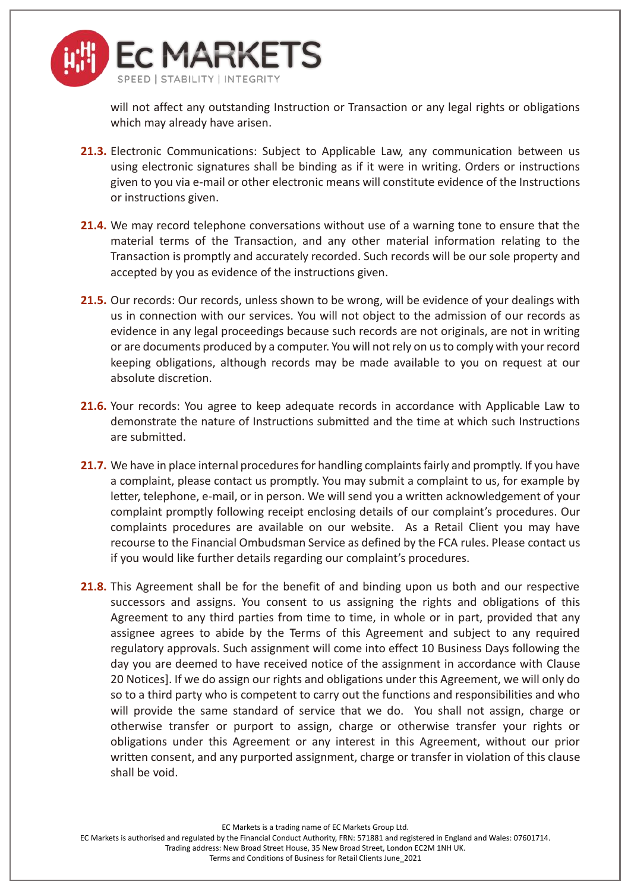

will not affect any outstanding Instruction or Transaction or any legal rights or obligations which may already have arisen.

- **21.3.** Electronic Communications: Subject to Applicable Law, any communication between us using electronic signatures shall be binding as if it were in writing. Orders or instructions given to you via e-mail or other electronic means will constitute evidence of the Instructions or instructions given.
- **21.4.** We may record telephone conversations without use of a warning tone to ensure that the material terms of the Transaction, and any other material information relating to the Transaction is promptly and accurately recorded. Such records will be our sole property and accepted by you as evidence of the instructions given.
- **21.5.** Our records: Our records, unless shown to be wrong, will be evidence of your dealings with us in connection with our services. You will not object to the admission of our records as evidence in any legal proceedings because such records are not originals, are not in writing or are documents produced by a computer. You will not rely on us to comply with your record keeping obligations, although records may be made available to you on request at our absolute discretion.
- **21.6.** Your records: You agree to keep adequate records in accordance with Applicable Law to demonstrate the nature of Instructions submitted and the time at which such Instructions are submitted.
- **21.7.** We have in place internal procedures for handling complaints fairly and promptly. If you have a complaint, please contact us promptly. You may submit a complaint to us, for example by letter, telephone, e-mail, or in person. We will send you a written acknowledgement of your complaint promptly following receipt enclosing details of our complaint's procedures. Our complaints procedures are available on our website. As a Retail Client you may have recourse to the Financial Ombudsman Service as defined by the FCA rules. Please contact us if you would like further details regarding our complaint's procedures.
- **21.8.** This Agreement shall be for the benefit of and binding upon us both and our respective successors and assigns. You consent to us assigning the rights and obligations of this Agreement to any third parties from time to time, in whole or in part, provided that any assignee agrees to abide by the Terms of this Agreement and subject to any required regulatory approvals. Such assignment will come into effect 10 Business Days following the day you are deemed to have received notice of the assignment in accordance with Clause [20](#page-20-1) Notices]. If we do assign our rights and obligations under this Agreement, we will only do so to a third party who is competent to carry out the functions and responsibilities and who will provide the same standard of service that we do. You shall not assign, charge or otherwise transfer or purport to assign, charge or otherwise transfer your rights or obligations under this Agreement or any interest in this Agreement, without our prior written consent, and any purported assignment, charge or transfer in violation of this clause shall be void.

EC Markets is a trading name of EC Markets Group Ltd.

EC Markets is authorised and regulated by the Financial Conduct Authority, FRN: 571881 and registered in England and Wales: 07601714. Trading address: New Broad Street House, 35 New Broad Street, London EC2M 1NH UK.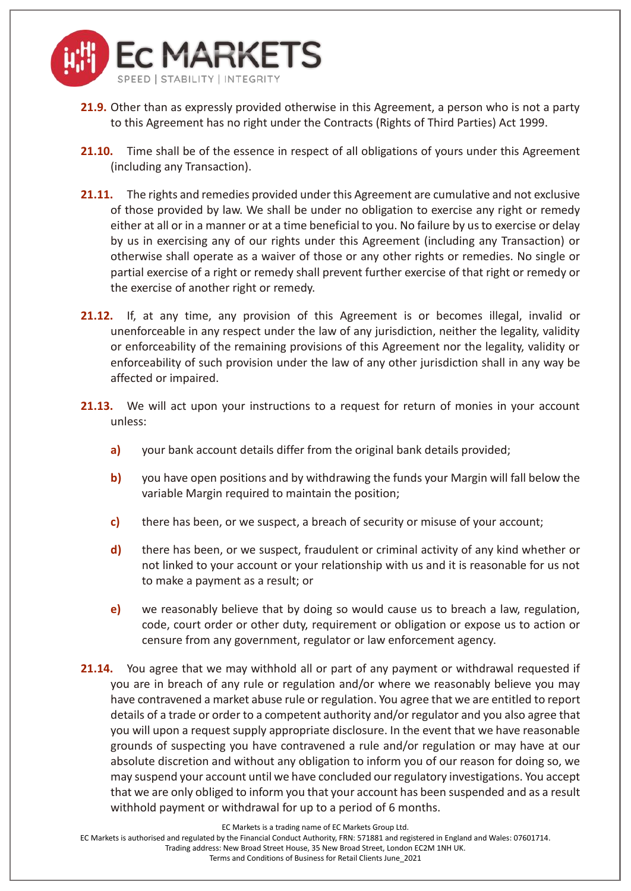

- **21.9.** Other than as expressly provided otherwise in this Agreement, a person who is not a party to this Agreement has no right under the Contracts (Rights of Third Parties) Act 1999.
- **21.10.** Time shall be of the essence in respect of all obligations of yours under this Agreement (including any Transaction).
- **21.11.** The rights and remedies provided under this Agreement are cumulative and not exclusive of those provided by law. We shall be under no obligation to exercise any right or remedy either at all or in a manner or at a time beneficial to you. No failure by us to exercise or delay by us in exercising any of our rights under this Agreement (including any Transaction) or otherwise shall operate as a waiver of those or any other rights or remedies. No single or partial exercise of a right or remedy shall prevent further exercise of that right or remedy or the exercise of another right or remedy.
- **21.12.** If, at any time, any provision of this Agreement is or becomes illegal, invalid or unenforceable in any respect under the law of any jurisdiction, neither the legality, validity or enforceability of the remaining provisions of this Agreement nor the legality, validity or enforceability of such provision under the law of any other jurisdiction shall in any way be affected or impaired.
- **21.13.** We will act upon your instructions to a request for return of monies in your account unless:
	- **a)** your bank account details differ from the original bank details provided;
	- **b)** you have open positions and by withdrawing the funds your Margin will fall below the variable Margin required to maintain the position;
	- **c)** there has been, or we suspect, a breach of security or misuse of your account;
	- **d)** there has been, or we suspect, fraudulent or criminal activity of any kind whether or not linked to your account or your relationship with us and it is reasonable for us not to make a payment as a result; or
	- **e)** we reasonably believe that by doing so would cause us to breach a law, regulation, code, court order or other duty, requirement or obligation or expose us to action or censure from any government, regulator or law enforcement agency.
- **21.14.** You agree that we may withhold all or part of any payment or withdrawal requested if you are in breach of any rule or regulation and/or where we reasonably believe you may have contravened a market abuse rule or regulation. You agree that we are entitled to report details of a trade or order to a competent authority and/or regulator and you also agree that you will upon a request supply appropriate disclosure. In the event that we have reasonable grounds of suspecting you have contravened a rule and/or regulation or may have at our absolute discretion and without any obligation to inform you of our reason for doing so, we may suspend your account until we have concluded our regulatory investigations. You accept that we are only obliged to inform you that your account has been suspended and as a result withhold payment or withdrawal for up to a period of 6 months.

EC Markets is a trading name of EC Markets Group Ltd.

EC Markets is authorised and regulated by the Financial Conduct Authority, FRN: 571881 and registered in England and Wales: 07601714.

Trading address: New Broad Street House, 35 New Broad Street, London EC2M 1NH UK.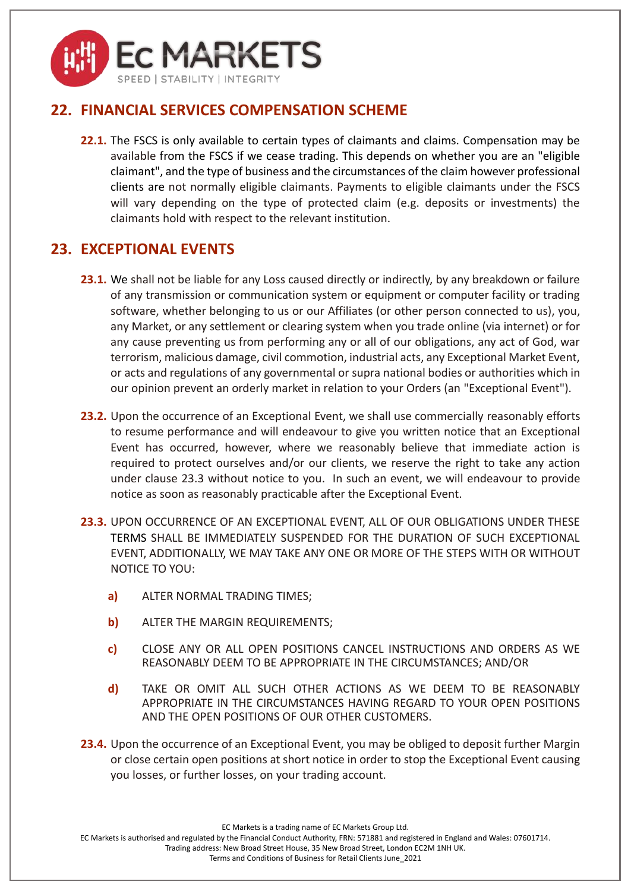

## **22. FINANCIAL SERVICES COMPENSATION SCHEME**

**22.1.** The FSCS is only available to certain types of claimants and claims. Compensation may be available from the FSCS if we cease trading. This depends on whether you are an "eligible claimant", and the type of business and the circumstances of the claim however professional clients are not normally eligible claimants. Payments to eligible claimants under the FSCS will vary depending on the type of protected claim (e.g. deposits or investments) the claimants hold with respect to the relevant institution.

## <span id="page-23-0"></span>**23. EXCEPTIONAL EVENTS**

- 23.1. We shall not be liable for any Loss caused directly or indirectly, by any breakdown or failure of any transmission or communication system or equipment or computer facility or trading software, whether belonging to us or our Affiliates (or other person connected to us), you, any Market, or any settlement or clearing system when you trade online (via internet) or for any cause preventing us from performing any or all of our obligations, any act of God, war terrorism, malicious damage, civil commotion, industrial acts, any Exceptional Market Event, or acts and regulations of any governmental or supra national bodies or authorities which in our opinion prevent an orderly market in relation to your Orders (an "Exceptional Event").
- 23.2. Upon the occurrence of an Exceptional Event, we shall use commercially reasonably efforts to resume performance and will endeavour to give you written notice that an Exceptional Event has occurred, however, where we reasonably believe that immediate action is required to protect ourselves and/or our clients, we reserve the right to take any action under clause 23.3 without notice to you. In such an event, we will endeavour to provide notice as soon as reasonably practicable after the Exceptional Event.
- **23.3.** UPON OCCURRENCE OF AN EXCEPTIONAL EVENT, ALL OF OUR OBLIGATIONS UNDER THESE TERMS SHALL BE IMMEDIATELY SUSPENDED FOR THE DURATION OF SUCH EXCEPTIONAL EVENT, ADDITIONALLY, WE MAY TAKE ANY ONE OR MORE OF THE STEPS WITH OR WITHOUT NOTICE TO YOU:
	- **a)** ALTER NORMAL TRADING TIMES;
	- **b)** ALTER THE MARGIN REQUIREMENTS;
	- **c)** CLOSE ANY OR ALL OPEN POSITIONS CANCEL INSTRUCTIONS AND ORDERS AS WE REASONABLY DEEM TO BE APPROPRIATE IN THE CIRCUMSTANCES; AND/OR
	- **d)** TAKE OR OMIT ALL SUCH OTHER ACTIONS AS WE DEEM TO BE REASONABLY APPROPRIATE IN THE CIRCUMSTANCES HAVING REGARD TO YOUR OPEN POSITIONS AND THE OPEN POSITIONS OF OUR OTHER CUSTOMERS.
- **23.4.** Upon the occurrence of an Exceptional Event, you may be obliged to deposit further Margin or close certain open positions at short notice in order to stop the Exceptional Event causing you losses, or further losses, on your trading account.

EC Markets is a trading name of EC Markets Group Ltd.

EC Markets is authorised and regulated by the Financial Conduct Authority, FRN: 571881 and registered in England and Wales: 07601714.

Trading address: New Broad Street House, 35 New Broad Street, London EC2M 1NH UK.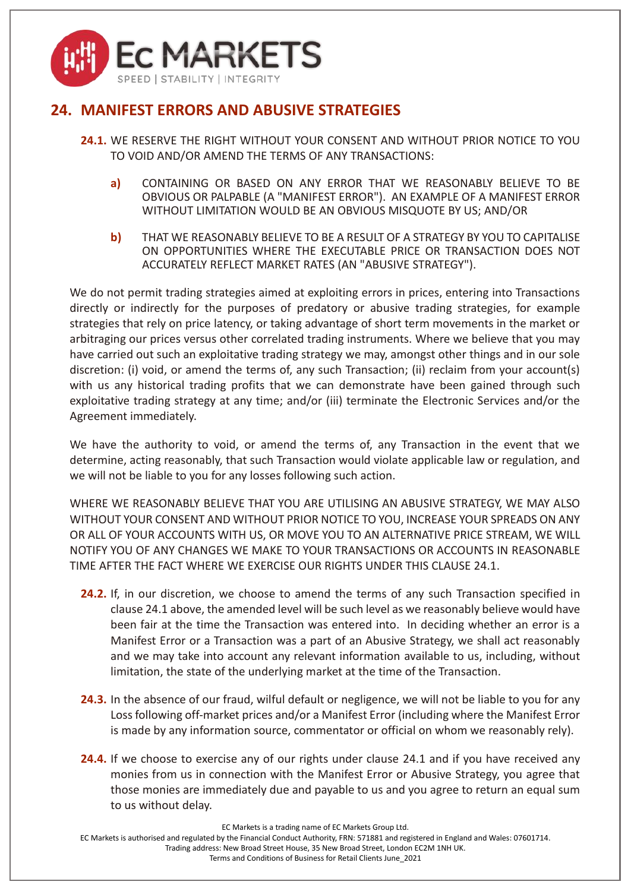

# <span id="page-24-0"></span>**24. MANIFEST ERRORS AND ABUSIVE STRATEGIES**

- **24.1.** WE RESERVE THE RIGHT WITHOUT YOUR CONSENT AND WITHOUT PRIOR NOTICE TO YOU TO VOID AND/OR AMEND THE TERMS OF ANY TRANSACTIONS:
	- **a)** CONTAINING OR BASED ON ANY ERROR THAT WE REASONABLY BELIEVE TO BE OBVIOUS OR PALPABLE (A "MANIFEST ERROR"). AN EXAMPLE OF A MANIFEST ERROR WITHOUT LIMITATION WOULD BE AN OBVIOUS MISQUOTE BY US; AND/OR
	- **b)** THAT WE REASONABLY BELIEVE TO BE A RESULT OF A STRATEGY BY YOU TO CAPITALISE ON OPPORTUNITIES WHERE THE EXECUTABLE PRICE OR TRANSACTION DOES NOT ACCURATELY REFLECT MARKET RATES (AN "ABUSIVE STRATEGY").

We do not permit trading strategies aimed at exploiting errors in prices, entering into Transactions directly or indirectly for the purposes of predatory or abusive trading strategies, for example strategies that rely on price latency, or taking advantage of short term movements in the market or arbitraging our prices versus other correlated trading instruments. Where we believe that you may have carried out such an exploitative trading strategy we may, amongst other things and in our sole discretion: (i) void, or amend the terms of, any such Transaction; (ii) reclaim from your account(s) with us any historical trading profits that we can demonstrate have been gained through such exploitative trading strategy at any time; and/or (iii) terminate the Electronic Services and/or the Agreement immediately.

We have the authority to void, or amend the terms of, any Transaction in the event that we determine, acting reasonably, that such Transaction would violate applicable law or regulation, and we will not be liable to you for any losses following such action.

WHERE WE REASONABLY BELIEVE THAT YOU ARE UTILISING AN ABUSIVE STRATEGY, WE MAY ALSO WITHOUT YOUR CONSENT AND WITHOUT PRIOR NOTICE TO YOU, INCREASE YOUR SPREADS ON ANY OR ALL OF YOUR ACCOUNTS WITH US, OR MOVE YOU TO AN ALTERNATIVE PRICE STREAM, WE WILL NOTIFY YOU OF ANY CHANGES WE MAKE TO YOUR TRANSACTIONS OR ACCOUNTS IN REASONABLE TIME AFTER THE FACT WHERE WE EXERCISE OUR RIGHTS UNDER THIS CLAUSE [24.1.](#page-24-0)

- **24.2.** If, in our discretion, we choose to amend the terms of any such Transaction specified in claus[e 24.1](#page-24-0) above, the amended level will be such level as we reasonably believe would have been fair at the time the Transaction was entered into. In deciding whether an error is a Manifest Error or a Transaction was a part of an Abusive Strategy, we shall act reasonably and we may take into account any relevant information available to us, including, without limitation, the state of the underlying market at the time of the Transaction.
- **24.3.** In the absence of our fraud, wilful default or negligence, we will not be liable to you for any Loss following off-market prices and/or a Manifest Error (including where the Manifest Error is made by any information source, commentator or official on whom we reasonably rely).
- **24.4.** If we choose to exercise any of our rights under clause [24.1](#page-24-0) and if you have received any monies from us in connection with the Manifest Error or Abusive Strategy, you agree that those monies are immediately due and payable to us and you agree to return an equal sum to us without delay.

EC Markets is a trading name of EC Markets Group Ltd.

EC Markets is authorised and regulated by the Financial Conduct Authority, FRN: 571881 and registered in England and Wales: 07601714.

Trading address: New Broad Street House, 35 New Broad Street, London EC2M 1NH UK.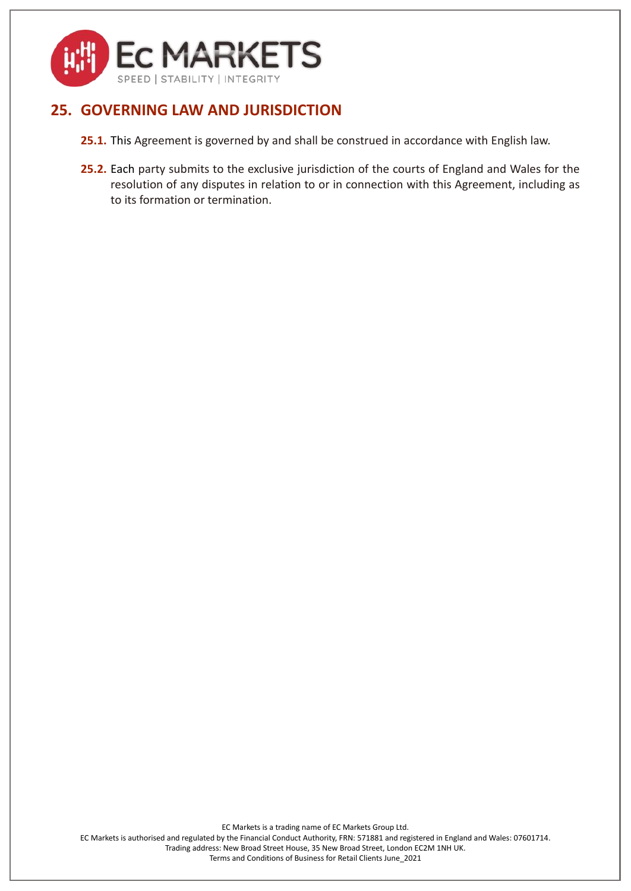

# <span id="page-25-0"></span>**25. GOVERNING LAW AND JURISDICTION**

- **25.1.** This Agreement is governed by and shall be construed in accordance with English law.
- **25.2.** Each party submits to the exclusive jurisdiction of the courts of England and Wales for the resolution of any disputes in relation to or in connection with this Agreement, including as to its formation or termination.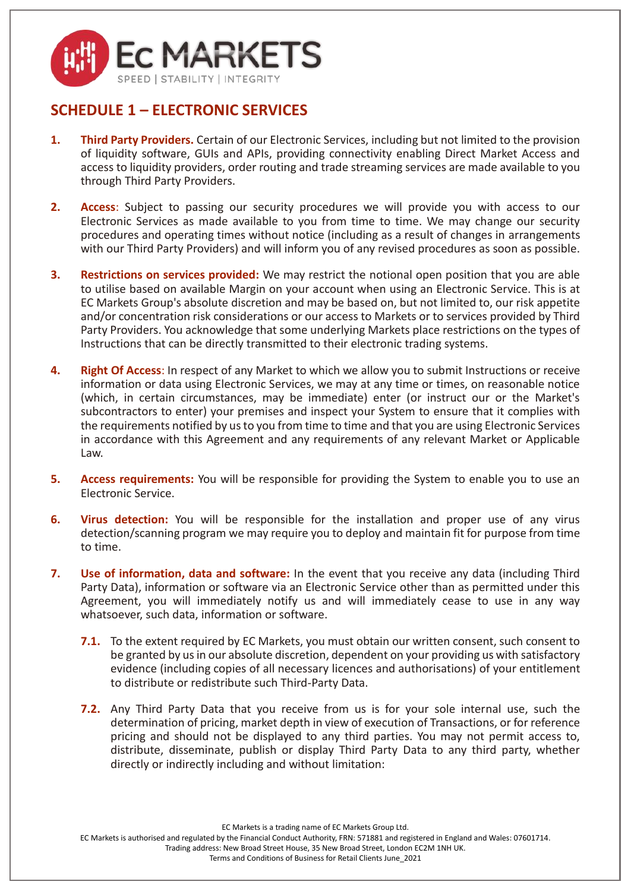

## **SCHEDULE 1 – ELECTRONIC SERVICES**

- **1. Third Party Providers.** Certain of our Electronic Services, including but not limited to the provision of liquidity software, GUIs and APIs, providing connectivity enabling Direct Market Access and access to liquidity providers, order routing and trade streaming services are made available to you through Third Party Providers.
- **2. Access**: Subject to passing our security procedures we will provide you with access to our Electronic Services as made available to you from time to time. We may change our security procedures and operating times without notice (including as a result of changes in arrangements with our Third Party Providers) and will inform you of any revised procedures as soon as possible.
- **3. Restrictions on services provided:** We may restrict the notional open position that you are able to utilise based on available Margin on your account when using an Electronic Service. This is at EC Markets Group's absolute discretion and may be based on, but not limited to, our risk appetite and/or concentration risk considerations or our access to Markets or to services provided by Third Party Providers. You acknowledge that some underlying Markets place restrictions on the types of Instructions that can be directly transmitted to their electronic trading systems.
- **4. Right Of Access**: In respect of any Market to which we allow you to submit Instructions or receive information or data using Electronic Services, we may at any time or times, on reasonable notice (which, in certain circumstances, may be immediate) enter (or instruct our or the Market's subcontractors to enter) your premises and inspect your System to ensure that it complies with the requirements notified by us to you from time to time and that you are using Electronic Services in accordance with this Agreement and any requirements of any relevant Market or Applicable Law.
- **5. Access requirements:** You will be responsible for providing the System to enable you to use an Electronic Service.
- **6. Virus detection:** You will be responsible for the installation and proper use of any virus detection/scanning program we may require you to deploy and maintain fit for purpose from time to time.
- **7. Use of information, data and software:** In the event that you receive any data (including Third Party Data), information or software via an Electronic Service other than as permitted under this Agreement, you will immediately notify us and will immediately cease to use in any way whatsoever, such data, information or software.
	- **7.1.** To the extent required by EC Markets, you must obtain our written consent, such consent to be granted by us in our absolute discretion, dependent on your providing us with satisfactory evidence (including copies of all necessary licences and authorisations) of your entitlement to distribute or redistribute such Third-Party Data.
	- **7.2.** Any Third Party Data that you receive from us is for your sole internal use, such the determination of pricing, market depth in view of execution of Transactions, or for reference pricing and should not be displayed to any third parties. You may not permit access to, distribute, disseminate, publish or display Third Party Data to any third party, whether directly or indirectly including and without limitation:

EC Markets is a trading name of EC Markets Group Ltd.

EC Markets is authorised and regulated by the Financial Conduct Authority, FRN: 571881 and registered in England and Wales: 07601714.

Trading address: New Broad Street House, 35 New Broad Street, London EC2M 1NH UK.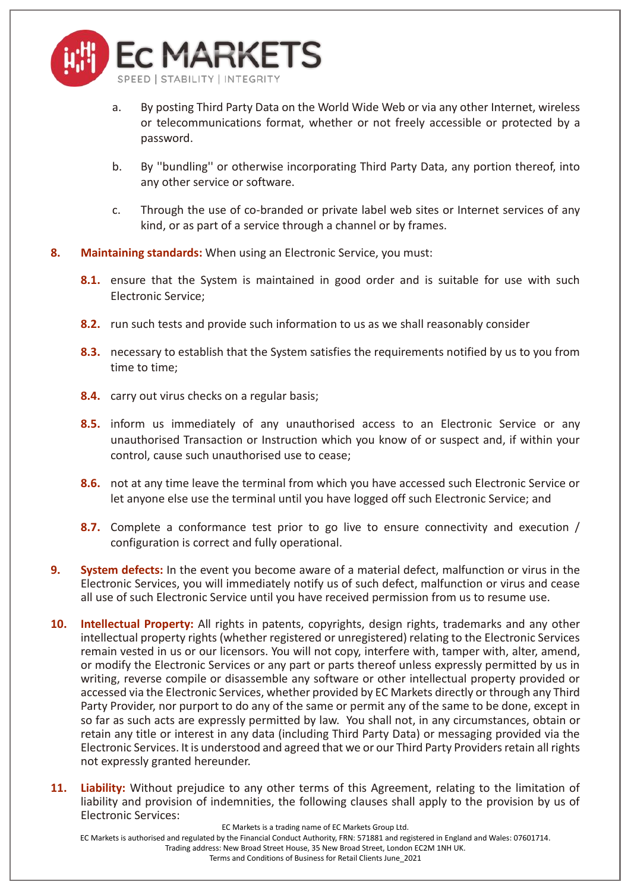

- a. By posting Third Party Data on the World Wide Web or via any other Internet, wireless or telecommunications format, whether or not freely accessible or protected by a password.
- b. By ''bundling'' or otherwise incorporating Third Party Data, any portion thereof, into any other service or software.
- c. Through the use of co-branded or private label web sites or Internet services of any kind, or as part of a service through a channel or by frames.
- **8. Maintaining standards:** When using an Electronic Service, you must:
	- **8.1.** ensure that the System is maintained in good order and is suitable for use with such Electronic Service;
	- **8.2.** run such tests and provide such information to us as we shall reasonably consider
	- **8.3.** necessary to establish that the System satisfies the requirements notified by us to you from time to time;
	- **8.4.** carry out virus checks on a regular basis;
	- **8.5.** inform us immediately of any unauthorised access to an Electronic Service or any unauthorised Transaction or Instruction which you know of or suspect and, if within your control, cause such unauthorised use to cease;
	- **8.6.** not at any time leave the terminal from which you have accessed such Electronic Service or let anyone else use the terminal until you have logged off such Electronic Service; and
	- **8.7.** Complete a conformance test prior to go live to ensure connectivity and execution / configuration is correct and fully operational.
- **9. System defects:** In the event you become aware of a material defect, malfunction or virus in the Electronic Services, you will immediately notify us of such defect, malfunction or virus and cease all use of such Electronic Service until you have received permission from us to resume use.
- **10. Intellectual Property:** All rights in patents, copyrights, design rights, trademarks and any other intellectual property rights (whether registered or unregistered) relating to the Electronic Services remain vested in us or our licensors. You will not copy, interfere with, tamper with, alter, amend, or modify the Electronic Services or any part or parts thereof unless expressly permitted by us in writing, reverse compile or disassemble any software or other intellectual property provided or accessed via the Electronic Services, whether provided by EC Markets directly or through any Third Party Provider, nor purport to do any of the same or permit any of the same to be done, except in so far as such acts are expressly permitted by law. You shall not, in any circumstances, obtain or retain any title or interest in any data (including Third Party Data) or messaging provided via the Electronic Services. It is understood and agreed that we or our Third Party Providers retain all rights not expressly granted hereunder.
- **11. Liability:** Without prejudice to any other terms of this Agreement, relating to the limitation of liability and provision of indemnities, the following clauses shall apply to the provision by us of Electronic Services:

EC Markets is a trading name of EC Markets Group Ltd.

EC Markets is authorised and regulated by the Financial Conduct Authority, FRN: 571881 and registered in England and Wales: 07601714.

Trading address: New Broad Street House, 35 New Broad Street, London EC2M 1NH UK.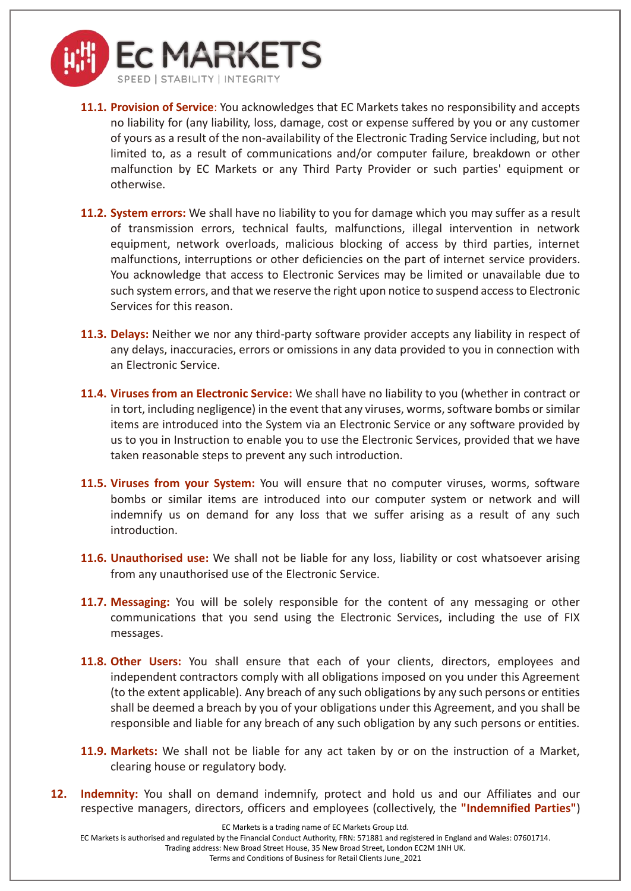

- **11.1. Provision of Service**: You acknowledges that EC Markets takes no responsibility and accepts no liability for (any liability, loss, damage, cost or expense suffered by you or any customer of yours as a result of the non-availability of the Electronic Trading Service including, but not limited to, as a result of communications and/or computer failure, breakdown or other malfunction by EC Markets or any Third Party Provider or such parties' equipment or otherwise.
- **11.2. System errors:** We shall have no liability to you for damage which you may suffer as a result of transmission errors, technical faults, malfunctions, illegal intervention in network equipment, network overloads, malicious blocking of access by third parties, internet malfunctions, interruptions or other deficiencies on the part of internet service providers. You acknowledge that access to Electronic Services may be limited or unavailable due to such system errors, and that we reserve the right upon notice to suspend access to Electronic Services for this reason.
- **11.3. Delays:** Neither we nor any third-party software provider accepts any liability in respect of any delays, inaccuracies, errors or omissions in any data provided to you in connection with an Electronic Service.
- **11.4. Viruses from an Electronic Service:** We shall have no liability to you (whether in contract or in tort, including negligence) in the event that any viruses, worms, software bombs or similar items are introduced into the System via an Electronic Service or any software provided by us to you in Instruction to enable you to use the Electronic Services, provided that we have taken reasonable steps to prevent any such introduction.
- **11.5. Viruses from your System:** You will ensure that no computer viruses, worms, software bombs or similar items are introduced into our computer system or network and will indemnify us on demand for any loss that we suffer arising as a result of any such introduction.
- **11.6. Unauthorised use:** We shall not be liable for any loss, liability or cost whatsoever arising from any unauthorised use of the Electronic Service.
- **11.7. Messaging:** You will be solely responsible for the content of any messaging or other communications that you send using the Electronic Services, including the use of FIX messages.
- **11.8. Other Users:** You shall ensure that each of your clients, directors, employees and independent contractors comply with all obligations imposed on you under this Agreement (to the extent applicable). Any breach of any such obligations by any such persons or entities shall be deemed a breach by you of your obligations under this Agreement, and you shall be responsible and liable for any breach of any such obligation by any such persons or entities.
- **11.9. Markets:** We shall not be liable for any act taken by or on the instruction of a Market, clearing house or regulatory body.
- **12. Indemnity:** You shall on demand indemnify, protect and hold us and our Affiliates and our respective managers, directors, officers and employees (collectively, the **"Indemnified Parties"**)

EC Markets is a trading name of EC Markets Group Ltd.

EC Markets is authorised and regulated by the Financial Conduct Authority, FRN: 571881 and registered in England and Wales: 07601714.

Trading address: New Broad Street House, 35 New Broad Street, London EC2M 1NH UK.